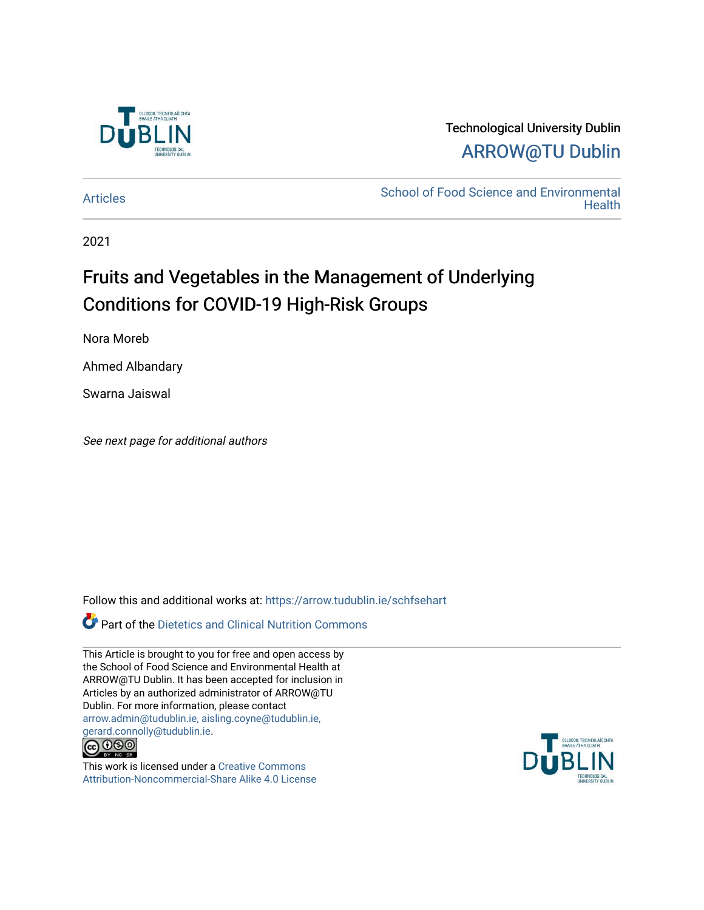

### Technological University Dublin [ARROW@TU Dublin](https://arrow.tudublin.ie/)

[Articles](https://arrow.tudublin.ie/schfsehart) **School of Food Science and Environmental Health** 

2021

## Fruits and Vegetables in the Management of Underlying Conditions for COVID-19 High-Risk Groups

Nora Moreb

Ahmed Albandary

Swarna Jaiswal

See next page for additional authors

Follow this and additional works at: [https://arrow.tudublin.ie/schfsehart](https://arrow.tudublin.ie/schfsehart?utm_source=arrow.tudublin.ie%2Fschfsehart%2F479&utm_medium=PDF&utm_campaign=PDFCoverPages) 

Part of the [Dietetics and Clinical Nutrition Commons](http://network.bepress.com/hgg/discipline/662?utm_source=arrow.tudublin.ie%2Fschfsehart%2F479&utm_medium=PDF&utm_campaign=PDFCoverPages) 

This Article is brought to you for free and open access by the School of Food Science and Environmental Health at ARROW@TU Dublin. It has been accepted for inclusion in Articles by an authorized administrator of ARROW@TU Dublin. For more information, please contact [arrow.admin@tudublin.ie, aisling.coyne@tudublin.ie,](mailto:arrow.admin@tudublin.ie,%20aisling.coyne@tudublin.ie,%20gerard.connolly@tudublin.ie)  [gerard.connolly@tudublin.ie](mailto:arrow.admin@tudublin.ie,%20aisling.coyne@tudublin.ie,%20gerard.connolly@tudublin.ie).



This work is licensed under a [Creative Commons](http://creativecommons.org/licenses/by-nc-sa/4.0/) [Attribution-Noncommercial-Share Alike 4.0 License](http://creativecommons.org/licenses/by-nc-sa/4.0/)

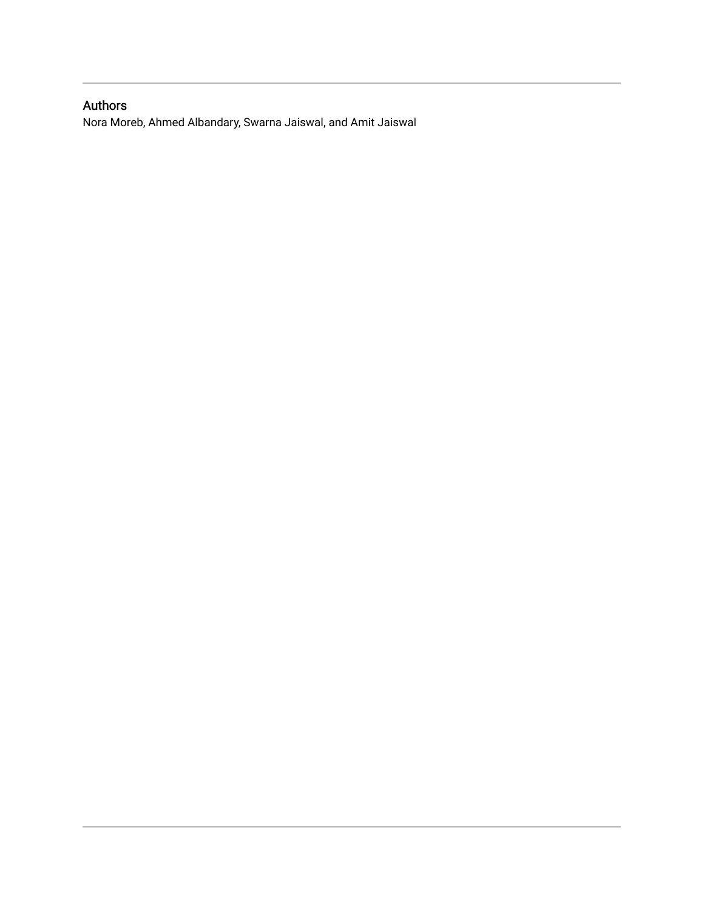### Authors

Nora Moreb, Ahmed Albandary, Swarna Jaiswal, and Amit Jaiswal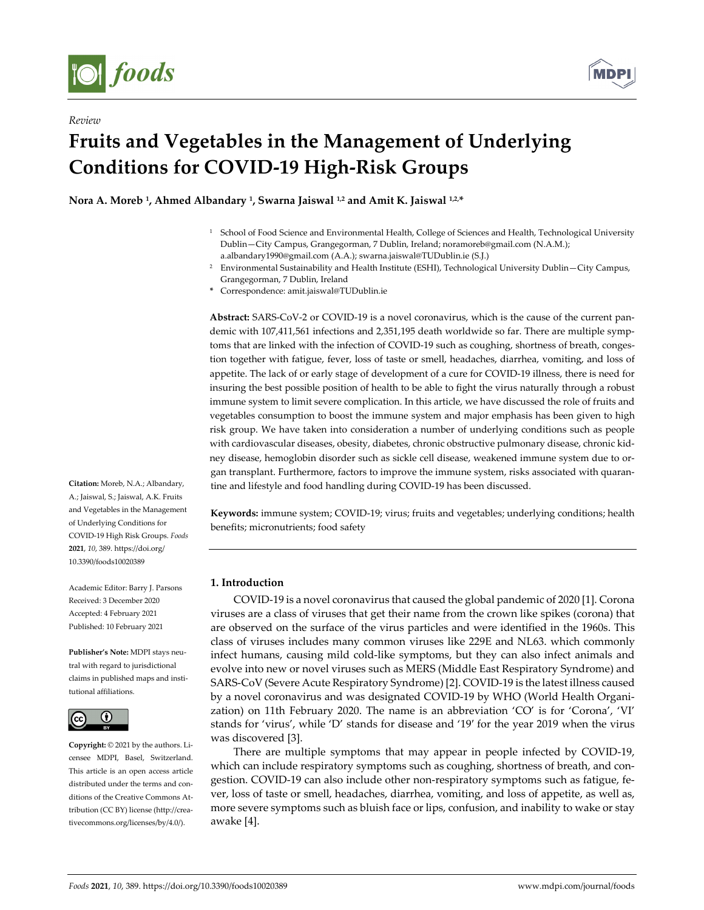

*Review* 



# **Fruits and Vegetables in the Management of Underlying Conditions for COVID-19 High-Risk Groups**

**Nora A. Moreb 1, Ahmed Albandary 1, Swarna Jaiswal 1,2 and Amit K. Jaiswal 1,2,\***

- <sup>1</sup> School of Food Science and Environmental Health, College of Sciences and Health, Technological University Dublin—City Campus, Grangegorman, 7 Dublin, Ireland; noramoreb@gmail.com (N.A.M.); a.albandary1990@gmail.com (A.A.); swarna.jaiswal@TUDublin.ie (S.J.)
- 2 Environmental Sustainability and Health Institute (ESHI), Technological University Dublin—City Campus, Grangegorman, 7 Dublin, Ireland
- **\*** Correspondence: amit.jaiswal@TUDublin.ie

**Abstract:** SARS-CoV-2 or COVID-19 is a novel coronavirus, which is the cause of the current pandemic with 107,411,561 infections and 2,351,195 death worldwide so far. There are multiple symptoms that are linked with the infection of COVID-19 such as coughing, shortness of breath, congestion together with fatigue, fever, loss of taste or smell, headaches, diarrhea, vomiting, and loss of appetite. The lack of or early stage of development of a cure for COVID-19 illness, there is need for insuring the best possible position of health to be able to fight the virus naturally through a robust immune system to limit severe complication. In this article, we have discussed the role of fruits and vegetables consumption to boost the immune system and major emphasis has been given to high risk group. We have taken into consideration a number of underlying conditions such as people with cardiovascular diseases, obesity, diabetes, chronic obstructive pulmonary disease, chronic kidney disease, hemoglobin disorder such as sickle cell disease, weakened immune system due to organ transplant. Furthermore, factors to improve the immune system, risks associated with quarantine and lifestyle and food handling during COVID-19 has been discussed.

**Keywords:** immune system; COVID-19; virus; fruits and vegetables; underlying conditions; health benefits; micronutrients; food safety

#### **1. Introduction**

COVID-19 is a novel coronavirus that caused the global pandemic of 2020 [1]. Corona viruses are a class of viruses that get their name from the crown like spikes (corona) that are observed on the surface of the virus particles and were identified in the 1960s. This class of viruses includes many common viruses like 229E and NL63. which commonly infect humans, causing mild cold-like symptoms, but they can also infect animals and evolve into new or novel viruses such as MERS (Middle East Respiratory Syndrome) and SARS-CoV (Severe Acute Respiratory Syndrome) [2]. COVID-19 is the latest illness caused by a novel coronavirus and was designated COVID-19 by WHO (World Health Organization) on 11th February 2020. The name is an abbreviation 'CO' is for 'Corona', 'VI' stands for 'virus', while 'D' stands for disease and '19′ for the year 2019 when the virus was discovered [3].

There are multiple symptoms that may appear in people infected by COVID-19, which can include respiratory symptoms such as coughing, shortness of breath, and congestion. COVID-19 can also include other non-respiratory symptoms such as fatigue, fever, loss of taste or smell, headaches, diarrhea, vomiting, and loss of appetite, as well as, more severe symptoms such as bluish face or lips, confusion, and inability to wake or stay awake [4].

**Citation:** Moreb, N.A.; Albandary, A.; Jaiswal, S.; Jaiswal, A.K. Fruits and Vegetables in the Management of Underlying Conditions for COVID-19 High Risk Groups. *Foods*  **2021**, *10*, 389. https://doi.org/ 10.3390/foods10020389

Academic Editor: Barry J. Parsons Received: 3 December 2020 Accepted: 4 February 2021 Published: 10 February 2021

**Publisher's Note:** MDPI stays neutral with regard to jurisdictional claims in published maps and institutional affiliations.



**Copyright:** © 2021 by the authors. Licensee MDPI, Basel, Switzerland. This article is an open access article distributed under the terms and conditions of the Creative Commons Attribution (CC BY) license (http://creativecommons.org/licenses/by/4.0/).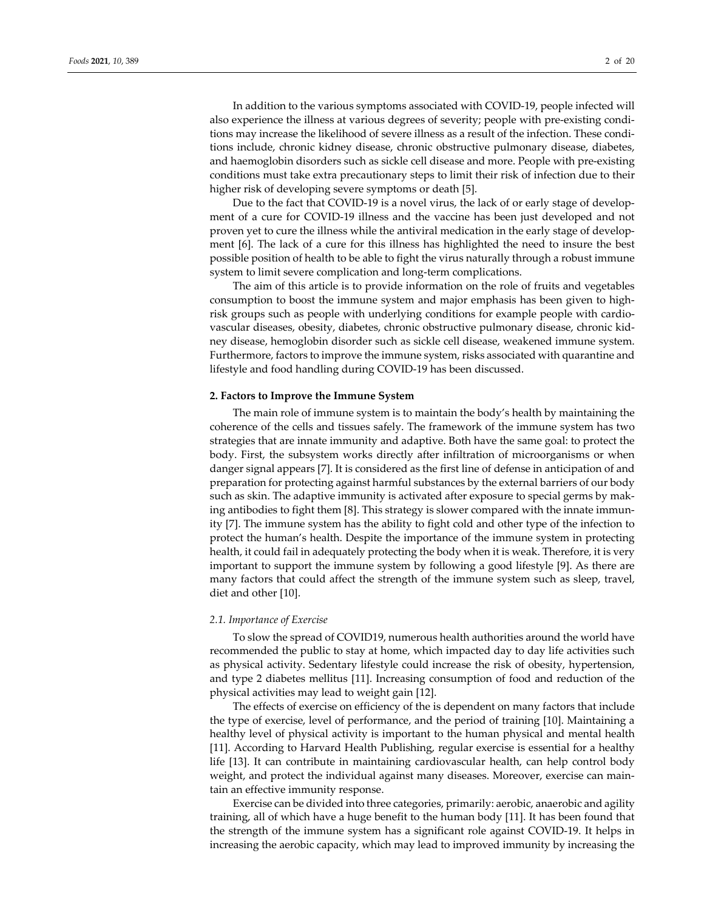In addition to the various symptoms associated with COVID-19, people infected will also experience the illness at various degrees of severity; people with pre-existing conditions may increase the likelihood of severe illness as a result of the infection. These conditions include, chronic kidney disease, chronic obstructive pulmonary disease, diabetes, and haemoglobin disorders such as sickle cell disease and more. People with pre-existing conditions must take extra precautionary steps to limit their risk of infection due to their higher risk of developing severe symptoms or death [5].

Due to the fact that COVID-19 is a novel virus, the lack of or early stage of development of a cure for COVID-19 illness and the vaccine has been just developed and not proven yet to cure the illness while the antiviral medication in the early stage of development [6]. The lack of a cure for this illness has highlighted the need to insure the best possible position of health to be able to fight the virus naturally through a robust immune system to limit severe complication and long-term complications.

The aim of this article is to provide information on the role of fruits and vegetables consumption to boost the immune system and major emphasis has been given to highrisk groups such as people with underlying conditions for example people with cardiovascular diseases, obesity, diabetes, chronic obstructive pulmonary disease, chronic kidney disease, hemoglobin disorder such as sickle cell disease, weakened immune system. Furthermore, factors to improve the immune system, risks associated with quarantine and lifestyle and food handling during COVID-19 has been discussed.

#### **2. Factors to Improve the Immune System**

The main role of immune system is to maintain the body's health by maintaining the coherence of the cells and tissues safely. The framework of the immune system has two strategies that are innate immunity and adaptive. Both have the same goal: to protect the body. First, the subsystem works directly after infiltration of microorganisms or when danger signal appears [7]. It is considered as the first line of defense in anticipation of and preparation for protecting against harmful substances by the external barriers of our body such as skin. The adaptive immunity is activated after exposure to special germs by making antibodies to fight them [8]. This strategy is slower compared with the innate immunity [7]. The immune system has the ability to fight cold and other type of the infection to protect the human's health. Despite the importance of the immune system in protecting health, it could fail in adequately protecting the body when it is weak. Therefore, it is very important to support the immune system by following a good lifestyle [9]. As there are many factors that could affect the strength of the immune system such as sleep, travel, diet and other [10].

#### *2.1. Importance of Exercise*

To slow the spread of COVID19, numerous health authorities around the world have recommended the public to stay at home, which impacted day to day life activities such as physical activity. Sedentary lifestyle could increase the risk of obesity, hypertension, and type 2 diabetes mellitus [11]. Increasing consumption of food and reduction of the physical activities may lead to weight gain [12].

The effects of exercise on efficiency of the is dependent on many factors that include the type of exercise, level of performance, and the period of training [10]. Maintaining a healthy level of physical activity is important to the human physical and mental health [11]. According to Harvard Health Publishing, regular exercise is essential for a healthy life [13]. It can contribute in maintaining cardiovascular health, can help control body weight, and protect the individual against many diseases. Moreover, exercise can maintain an effective immunity response.

Exercise can be divided into three categories, primarily: aerobic, anaerobic and agility training, all of which have a huge benefit to the human body [11]. It has been found that the strength of the immune system has a significant role against COVID-19. It helps in increasing the aerobic capacity, which may lead to improved immunity by increasing the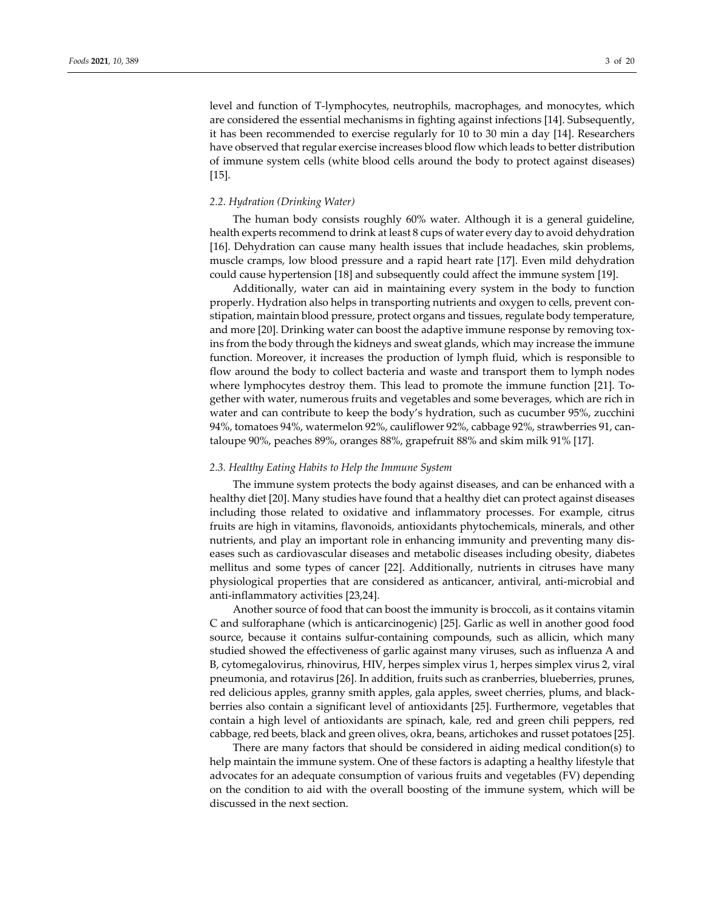level and function of T-lymphocytes, neutrophils, macrophages, and monocytes, which are considered the essential mechanisms in fighting against infections [14]. Subsequently, it has been recommended to exercise regularly for 10 to 30 min a day [14]. Researchers have observed that regular exercise increases blood flow which leads to better distribution of immune system cells (white blood cells around the body to protect against diseases) [15].

#### *2.2. Hydration (Drinking Water)*

The human body consists roughly 60% water. Although it is a general guideline, health experts recommend to drink at least 8 cups of water every day to avoid dehydration [16]. Dehydration can cause many health issues that include headaches, skin problems, muscle cramps, low blood pressure and a rapid heart rate [17]. Even mild dehydration could cause hypertension [18] and subsequently could affect the immune system [19].

Additionally, water can aid in maintaining every system in the body to function properly. Hydration also helps in transporting nutrients and oxygen to cells, prevent constipation, maintain blood pressure, protect organs and tissues, regulate body temperature, and more [20]. Drinking water can boost the adaptive immune response by removing toxins from the body through the kidneys and sweat glands, which may increase the immune function. Moreover, it increases the production of lymph fluid, which is responsible to flow around the body to collect bacteria and waste and transport them to lymph nodes where lymphocytes destroy them. This lead to promote the immune function [21]. Together with water, numerous fruits and vegetables and some beverages, which are rich in water and can contribute to keep the body's hydration, such as cucumber 95%, zucchini 94%, tomatoes 94%, watermelon 92%, cauliflower 92%, cabbage 92%, strawberries 91, cantaloupe 90%, peaches 89%, oranges 88%, grapefruit 88% and skim milk 91% [17].

#### *2.3. Healthy Eating Habits to Help the Immune System*

The immune system protects the body against diseases, and can be enhanced with a healthy diet [20]. Many studies have found that a healthy diet can protect against diseases including those related to oxidative and inflammatory processes. For example, citrus fruits are high in vitamins, flavonoids, antioxidants phytochemicals, minerals, and other nutrients, and play an important role in enhancing immunity and preventing many diseases such as cardiovascular diseases and metabolic diseases including obesity, diabetes mellitus and some types of cancer [22]. Additionally, nutrients in citruses have many physiological properties that are considered as anticancer, antiviral, anti-microbial and anti-inflammatory activities [23,24].

Another source of food that can boost the immunity is broccoli, as it contains vitamin C and sulforaphane (which is anticarcinogenic) [25]. Garlic as well in another good food source, because it contains sulfur-containing compounds, such as allicin, which many studied showed the effectiveness of garlic against many viruses, such as influenza A and B, cytomegalovirus, rhinovirus, HIV, herpes simplex virus 1, herpes simplex virus 2, viral pneumonia, and rotavirus [26]. In addition, fruits such as cranberries, blueberries, prunes, red delicious apples, granny smith apples, gala apples, sweet cherries, plums, and blackberries also contain a significant level of antioxidants [25]. Furthermore, vegetables that contain a high level of antioxidants are spinach, kale, red and green chili peppers, red cabbage, red beets, black and green olives, okra, beans, artichokes and russet potatoes [25].

There are many factors that should be considered in aiding medical condition(s) to help maintain the immune system. One of these factors is adapting a healthy lifestyle that advocates for an adequate consumption of various fruits and vegetables (FV) depending on the condition to aid with the overall boosting of the immune system, which will be discussed in the next section.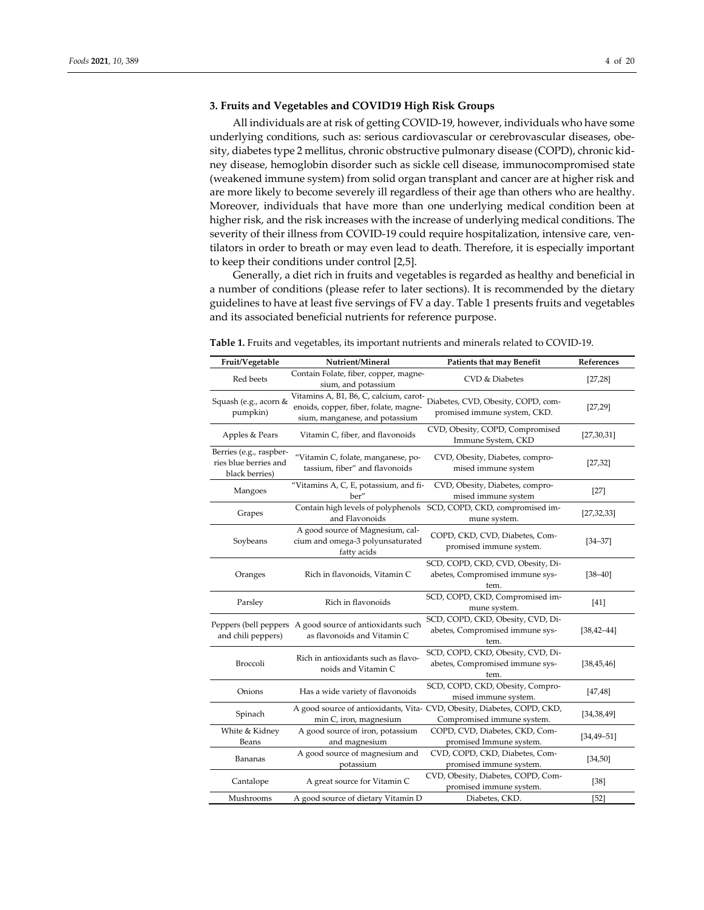### **3. Fruits and Vegetables and COVID19 High Risk Groups**

All individuals are at risk of getting COVID-19, however, individuals who have some underlying conditions, such as: serious cardiovascular or cerebrovascular diseases, obesity, diabetes type 2 mellitus, chronic obstructive pulmonary disease (COPD), chronic kidney disease, hemoglobin disorder such as sickle cell disease, immunocompromised state (weakened immune system) from solid organ transplant and cancer are at higher risk and are more likely to become severely ill regardless of their age than others who are healthy. Moreover, individuals that have more than one underlying medical condition been at higher risk, and the risk increases with the increase of underlying medical conditions. The severity of their illness from COVID-19 could require hospitalization, intensive care, ventilators in order to breath or may even lead to death. Therefore, it is especially important to keep their conditions under control [2,5].

Generally, a diet rich in fruits and vegetables is regarded as healthy and beneficial in a number of conditions (please refer to later sections). It is recommended by the dietary guidelines to have at least five servings of FV a day. Table 1 presents fruits and vegetables and its associated beneficial nutrients for reference purpose.

| Fruit/Vegetable                                                    | Nutrient/Mineral                                                                                                  | <b>Patients that may Benefit</b>                                                                      | References      |
|--------------------------------------------------------------------|-------------------------------------------------------------------------------------------------------------------|-------------------------------------------------------------------------------------------------------|-----------------|
| Red beets                                                          | Contain Folate, fiber, copper, magne-<br>sium, and potassium                                                      | <b>CVD &amp; Diabetes</b>                                                                             | [27, 28]        |
| Squash (e.g., acorn &<br>pumpkin)                                  | Vitamins A, B1, B6, C, calcium, carot-<br>enoids, copper, fiber, folate, magne-<br>sium, manganese, and potassium | Diabetes, CVD, Obesity, COPD, com-<br>promised immune system, CKD.                                    | [27, 29]        |
| Apples & Pears                                                     | Vitamin C, fiber, and flavonoids                                                                                  | CVD, Obesity, COPD, Compromised<br>Immune System, CKD                                                 | [27, 30, 31]    |
| Berries (e.g., raspber-<br>ries blue berries and<br>black berries) | "Vitamin C, folate, manganese, po-<br>tassium, fiber" and flavonoids                                              | CVD, Obesity, Diabetes, compro-<br>mised immune system                                                | [27, 32]        |
| Mangoes                                                            | "Vitamins A, C, E, potassium, and fi-<br>ber"                                                                     | CVD, Obesity, Diabetes, compro-<br>mised immune system                                                | $[27]$          |
| Grapes                                                             | and Flavonoids                                                                                                    | Contain high levels of polyphenols SCD, COPD, CKD, compromised im-<br>mune system.                    | [27, 32, 33]    |
| Soybeans                                                           | A good source of Magnesium, cal-<br>cium and omega-3 polyunsaturated<br>fatty acids                               | COPD, CKD, CVD, Diabetes, Com-<br>promised immune system.                                             | $[34 - 37]$     |
| Oranges                                                            | Rich in flavonoids, Vitamin C                                                                                     | SCD, COPD, CKD, CVD, Obesity, Di-<br>abetes, Compromised immune sys-<br>tem.                          | $[38 - 40]$     |
| Parsley                                                            | Rich in flavonoids                                                                                                | SCD, COPD, CKD, Compromised im-<br>mune system.                                                       | $[41]$          |
| and chili peppers)                                                 | Peppers (bell peppers A good source of antioxidants such<br>as flavonoids and Vitamin C                           | SCD, COPD, CKD, Obesity, CVD, Di-<br>abetes, Compromised immune sys-<br>tem.                          | $[38, 42 - 44]$ |
| Broccoli                                                           | Rich in antioxidants such as flavo-<br>noids and Vitamin C                                                        | SCD, COPD, CKD, Obesity, CVD, Di-<br>abetes, Compromised immune sys-<br>tem.                          | [38, 45, 46]    |
| Onions                                                             | Has a wide variety of flavonoids                                                                                  | SCD, COPD, CKD, Obesity, Compro-<br>mised immune system.                                              | [47, 48]        |
| Spinach                                                            | min C, iron, magnesium                                                                                            | A good source of antioxidants, Vita- CVD, Obesity, Diabetes, COPD, CKD,<br>Compromised immune system. | [34, 38, 49]    |
| White & Kidney<br>Beans                                            | A good source of iron, potassium<br>and magnesium                                                                 | COPD, CVD, Diabetes, CKD, Com-<br>promised Immune system.                                             | $[34, 49 - 51]$ |
| Bananas                                                            | A good source of magnesium and<br>potassium                                                                       | CVD, COPD, CKD, Diabetes, Com-<br>promised immune system.                                             | [34, 50]        |
| Cantalope                                                          | A great source for Vitamin C                                                                                      | CVD, Obesity, Diabetes, COPD, Com-<br>promised immune system.                                         | $[38]$          |
| Mushrooms                                                          | A good source of dietary Vitamin D                                                                                | Diabetes, CKD.                                                                                        | $[52]$          |

**Table 1.** Fruits and vegetables, its important nutrients and minerals related to COVID-19.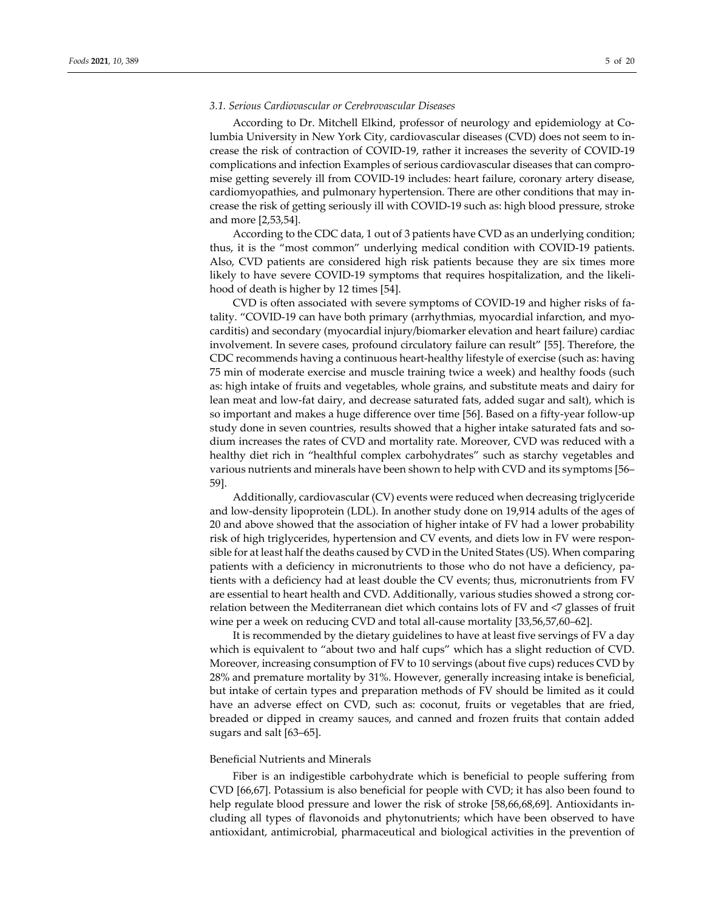#### *3.1. Serious Cardiovascular or Cerebrovascular Diseases*

According to Dr. Mitchell Elkind, professor of neurology and epidemiology at Columbia University in New York City, cardiovascular diseases (CVD) does not seem to increase the risk of contraction of COVID-19, rather it increases the severity of COVID-19 complications and infection Examples of serious cardiovascular diseases that can compromise getting severely ill from COVID-19 includes: heart failure, coronary artery disease, cardiomyopathies, and pulmonary hypertension. There are other conditions that may increase the risk of getting seriously ill with COVID-19 such as: high blood pressure, stroke and more [2,53,54].

According to the CDC data, 1 out of 3 patients have CVD as an underlying condition; thus, it is the "most common" underlying medical condition with COVID-19 patients. Also, CVD patients are considered high risk patients because they are six times more likely to have severe COVID-19 symptoms that requires hospitalization, and the likelihood of death is higher by 12 times [54].

CVD is often associated with severe symptoms of COVID-19 and higher risks of fatality. "COVID-19 can have both primary (arrhythmias, myocardial infarction, and myocarditis) and secondary (myocardial injury/biomarker elevation and heart failure) cardiac involvement. In severe cases, profound circulatory failure can result" [55]. Therefore, the CDC recommends having a continuous heart-healthy lifestyle of exercise (such as: having 75 min of moderate exercise and muscle training twice a week) and healthy foods (such as: high intake of fruits and vegetables, whole grains, and substitute meats and dairy for lean meat and low-fat dairy, and decrease saturated fats, added sugar and salt), which is so important and makes a huge difference over time [56]. Based on a fifty-year follow-up study done in seven countries, results showed that a higher intake saturated fats and sodium increases the rates of CVD and mortality rate. Moreover, CVD was reduced with a healthy diet rich in "healthful complex carbohydrates" such as starchy vegetables and various nutrients and minerals have been shown to help with CVD and its symptoms [56– 59].

Additionally, cardiovascular (CV) events were reduced when decreasing triglyceride and low-density lipoprotein (LDL). In another study done on 19,914 adults of the ages of 20 and above showed that the association of higher intake of FV had a lower probability risk of high triglycerides, hypertension and CV events, and diets low in FV were responsible for at least half the deaths caused by CVD in the United States (US). When comparing patients with a deficiency in micronutrients to those who do not have a deficiency, patients with a deficiency had at least double the CV events; thus, micronutrients from FV are essential to heart health and CVD. Additionally, various studies showed a strong correlation between the Mediterranean diet which contains lots of FV and <7 glasses of fruit wine per a week on reducing CVD and total all-cause mortality [33,56,57,60–62].

It is recommended by the dietary guidelines to have at least five servings of FV a day which is equivalent to "about two and half cups" which has a slight reduction of CVD. Moreover, increasing consumption of FV to 10 servings (about five cups) reduces CVD by 28% and premature mortality by 31%. However, generally increasing intake is beneficial, but intake of certain types and preparation methods of FV should be limited as it could have an adverse effect on CVD, such as: coconut, fruits or vegetables that are fried, breaded or dipped in creamy sauces, and canned and frozen fruits that contain added sugars and salt [63–65].

#### Beneficial Nutrients and Minerals

Fiber is an indigestible carbohydrate which is beneficial to people suffering from CVD [66,67]. Potassium is also beneficial for people with CVD; it has also been found to help regulate blood pressure and lower the risk of stroke [58,66,68,69]. Antioxidants including all types of flavonoids and phytonutrients; which have been observed to have antioxidant, antimicrobial, pharmaceutical and biological activities in the prevention of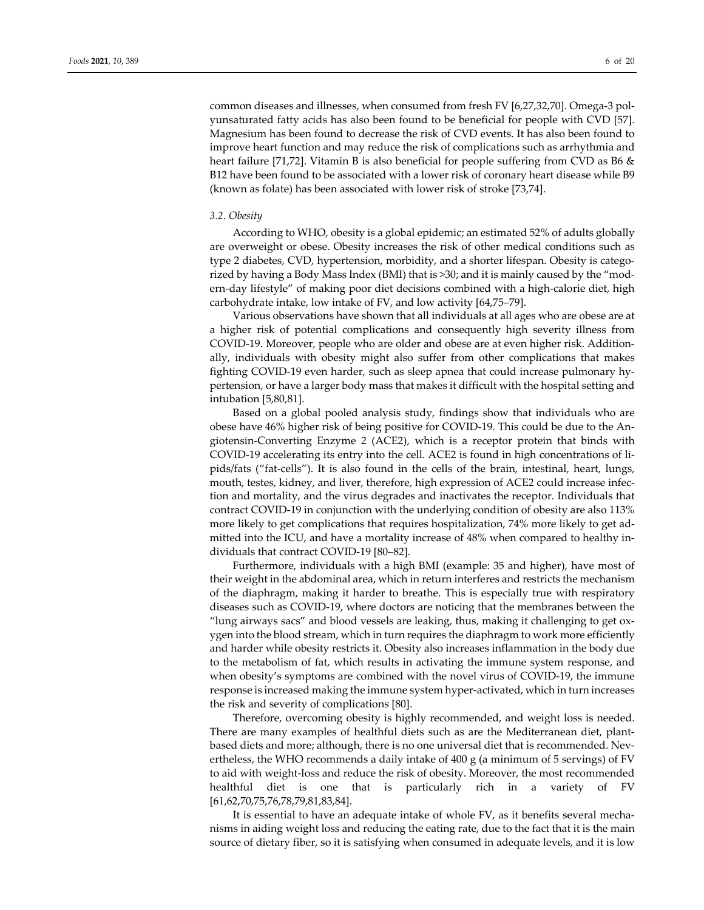common diseases and illnesses, when consumed from fresh FV [6,27,32,70]. Omega-3 polyunsaturated fatty acids has also been found to be beneficial for people with CVD [57]. Magnesium has been found to decrease the risk of CVD events. It has also been found to improve heart function and may reduce the risk of complications such as arrhythmia and heart failure [71,72]. Vitamin B is also beneficial for people suffering from CVD as B6 & B12 have been found to be associated with a lower risk of coronary heart disease while B9 (known as folate) has been associated with lower risk of stroke [73,74].

#### *3.2. Obesity*

According to WHO, obesity is a global epidemic; an estimated 52% of adults globally are overweight or obese. Obesity increases the risk of other medical conditions such as type 2 diabetes, CVD, hypertension, morbidity, and a shorter lifespan. Obesity is categorized by having a Body Mass Index (BMI) that is >30; and it is mainly caused by the "modern-day lifestyle" of making poor diet decisions combined with a high-calorie diet, high carbohydrate intake, low intake of FV, and low activity [64,75–79].

Various observations have shown that all individuals at all ages who are obese are at a higher risk of potential complications and consequently high severity illness from COVID-19. Moreover, people who are older and obese are at even higher risk. Additionally, individuals with obesity might also suffer from other complications that makes fighting COVID-19 even harder, such as sleep apnea that could increase pulmonary hypertension, or have a larger body mass that makes it difficult with the hospital setting and intubation [5,80,81].

Based on a global pooled analysis study, findings show that individuals who are obese have 46% higher risk of being positive for COVID-19. This could be due to the Angiotensin-Converting Enzyme 2 (ACE2), which is a receptor protein that binds with COVID-19 accelerating its entry into the cell. ACE2 is found in high concentrations of lipids/fats ("fat-cells"). It is also found in the cells of the brain, intestinal, heart, lungs, mouth, testes, kidney, and liver, therefore, high expression of ACE2 could increase infection and mortality, and the virus degrades and inactivates the receptor. Individuals that contract COVID-19 in conjunction with the underlying condition of obesity are also 113% more likely to get complications that requires hospitalization, 74% more likely to get admitted into the ICU, and have a mortality increase of 48% when compared to healthy individuals that contract COVID-19 [80–82].

Furthermore, individuals with a high BMI (example: 35 and higher), have most of their weight in the abdominal area, which in return interferes and restricts the mechanism of the diaphragm, making it harder to breathe. This is especially true with respiratory diseases such as COVID-19, where doctors are noticing that the membranes between the "lung airways sacs" and blood vessels are leaking, thus, making it challenging to get oxygen into the blood stream, which in turn requires the diaphragm to work more efficiently and harder while obesity restricts it. Obesity also increases inflammation in the body due to the metabolism of fat, which results in activating the immune system response, and when obesity's symptoms are combined with the novel virus of COVID-19, the immune response is increased making the immune system hyper-activated, which in turn increases the risk and severity of complications [80].

Therefore, overcoming obesity is highly recommended, and weight loss is needed. There are many examples of healthful diets such as are the Mediterranean diet, plantbased diets and more; although, there is no one universal diet that is recommended. Nevertheless, the WHO recommends a daily intake of 400 g (a minimum of 5 servings) of FV to aid with weight-loss and reduce the risk of obesity. Moreover, the most recommended healthful diet is one that is particularly rich in a variety of FV [61,62,70,75,76,78,79,81,83,84].

It is essential to have an adequate intake of whole FV, as it benefits several mechanisms in aiding weight loss and reducing the eating rate, due to the fact that it is the main source of dietary fiber, so it is satisfying when consumed in adequate levels, and it is low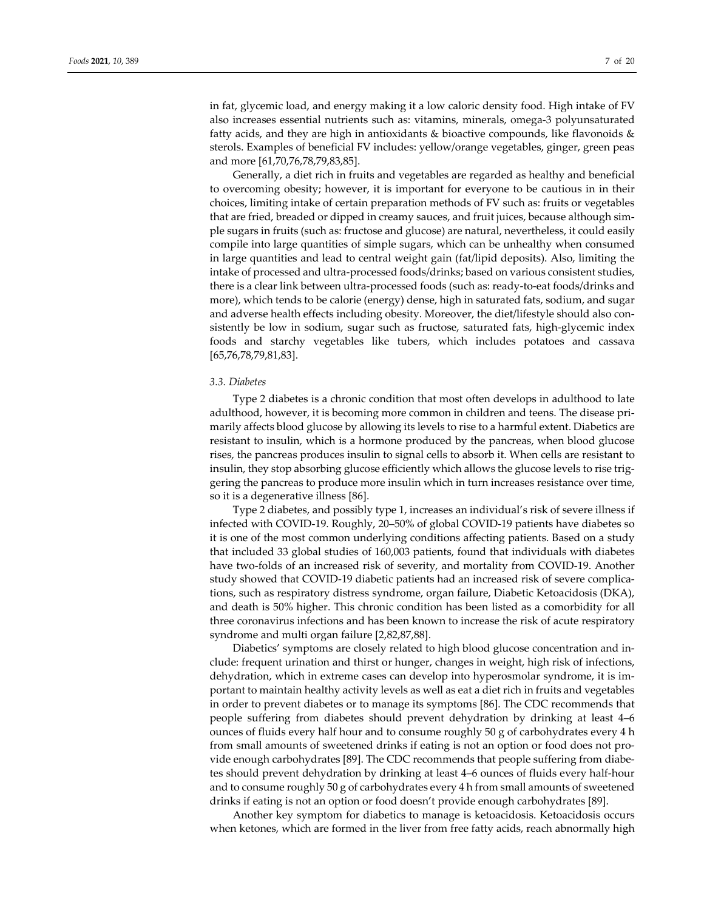in fat, glycemic load, and energy making it a low caloric density food. High intake of FV also increases essential nutrients such as: vitamins, minerals, omega-3 polyunsaturated fatty acids, and they are high in antioxidants  $\&$  bioactive compounds, like flavonoids  $\&$ sterols. Examples of beneficial FV includes: yellow/orange vegetables, ginger, green peas and more [61,70,76,78,79,83,85].

Generally, a diet rich in fruits and vegetables are regarded as healthy and beneficial to overcoming obesity; however, it is important for everyone to be cautious in in their choices, limiting intake of certain preparation methods of FV such as: fruits or vegetables that are fried, breaded or dipped in creamy sauces, and fruit juices, because although simple sugars in fruits (such as: fructose and glucose) are natural, nevertheless, it could easily compile into large quantities of simple sugars, which can be unhealthy when consumed in large quantities and lead to central weight gain (fat/lipid deposits). Also, limiting the intake of processed and ultra-processed foods/drinks; based on various consistent studies, there is a clear link between ultra-processed foods (such as: ready-to-eat foods/drinks and more), which tends to be calorie (energy) dense, high in saturated fats, sodium, and sugar and adverse health effects including obesity. Moreover, the diet/lifestyle should also consistently be low in sodium, sugar such as fructose, saturated fats, high-glycemic index foods and starchy vegetables like tubers, which includes potatoes and cassava [65,76,78,79,81,83].

#### *3.3. Diabetes*

Type 2 diabetes is a chronic condition that most often develops in adulthood to late adulthood, however, it is becoming more common in children and teens. The disease primarily affects blood glucose by allowing its levels to rise to a harmful extent. Diabetics are resistant to insulin, which is a hormone produced by the pancreas, when blood glucose rises, the pancreas produces insulin to signal cells to absorb it. When cells are resistant to insulin, they stop absorbing glucose efficiently which allows the glucose levels to rise triggering the pancreas to produce more insulin which in turn increases resistance over time, so it is a degenerative illness [86].

Type 2 diabetes, and possibly type 1, increases an individual's risk of severe illness if infected with COVID-19. Roughly, 20–50% of global COVID-19 patients have diabetes so it is one of the most common underlying conditions affecting patients. Based on a study that included 33 global studies of 160,003 patients, found that individuals with diabetes have two-folds of an increased risk of severity, and mortality from COVID-19. Another study showed that COVID-19 diabetic patients had an increased risk of severe complications, such as respiratory distress syndrome, organ failure, Diabetic Ketoacidosis (DKA), and death is 50% higher. This chronic condition has been listed as a comorbidity for all three coronavirus infections and has been known to increase the risk of acute respiratory syndrome and multi organ failure [2,82,87,88].

Diabetics' symptoms are closely related to high blood glucose concentration and include: frequent urination and thirst or hunger, changes in weight, high risk of infections, dehydration, which in extreme cases can develop into hyperosmolar syndrome, it is important to maintain healthy activity levels as well as eat a diet rich in fruits and vegetables in order to prevent diabetes or to manage its symptoms [86]. The CDC recommends that people suffering from diabetes should prevent dehydration by drinking at least 4–6 ounces of fluids every half hour and to consume roughly 50 g of carbohydrates every 4 h from small amounts of sweetened drinks if eating is not an option or food does not provide enough carbohydrates [89]. The CDC recommends that people suffering from diabetes should prevent dehydration by drinking at least 4–6 ounces of fluids every half-hour and to consume roughly 50 g of carbohydrates every 4 h from small amounts of sweetened drinks if eating is not an option or food doesn't provide enough carbohydrates [89].

Another key symptom for diabetics to manage is ketoacidosis. Ketoacidosis occurs when ketones, which are formed in the liver from free fatty acids, reach abnormally high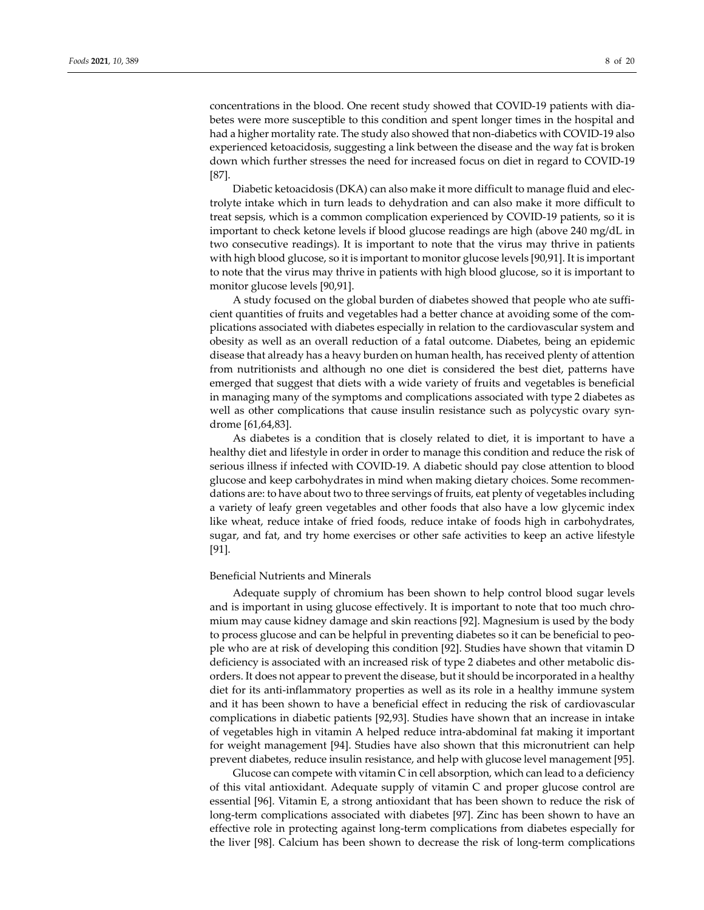concentrations in the blood. One recent study showed that COVID-19 patients with diabetes were more susceptible to this condition and spent longer times in the hospital and had a higher mortality rate. The study also showed that non-diabetics with COVID-19 also experienced ketoacidosis, suggesting a link between the disease and the way fat is broken down which further stresses the need for increased focus on diet in regard to COVID-19 [87].

Diabetic ketoacidosis (DKA) can also make it more difficult to manage fluid and electrolyte intake which in turn leads to dehydration and can also make it more difficult to treat sepsis, which is a common complication experienced by COVID-19 patients, so it is important to check ketone levels if blood glucose readings are high (above 240 mg/dL in two consecutive readings). It is important to note that the virus may thrive in patients with high blood glucose, so it is important to monitor glucose levels [90,91]. It is important to note that the virus may thrive in patients with high blood glucose, so it is important to monitor glucose levels [90,91].

A study focused on the global burden of diabetes showed that people who ate sufficient quantities of fruits and vegetables had a better chance at avoiding some of the complications associated with diabetes especially in relation to the cardiovascular system and obesity as well as an overall reduction of a fatal outcome. Diabetes, being an epidemic disease that already has a heavy burden on human health, has received plenty of attention from nutritionists and although no one diet is considered the best diet, patterns have emerged that suggest that diets with a wide variety of fruits and vegetables is beneficial in managing many of the symptoms and complications associated with type 2 diabetes as well as other complications that cause insulin resistance such as polycystic ovary syndrome [61,64,83].

As diabetes is a condition that is closely related to diet, it is important to have a healthy diet and lifestyle in order in order to manage this condition and reduce the risk of serious illness if infected with COVID-19. A diabetic should pay close attention to blood glucose and keep carbohydrates in mind when making dietary choices. Some recommendations are: to have about two to three servings of fruits, eat plenty of vegetables including a variety of leafy green vegetables and other foods that also have a low glycemic index like wheat, reduce intake of fried foods, reduce intake of foods high in carbohydrates, sugar, and fat, and try home exercises or other safe activities to keep an active lifestyle [91].

#### Beneficial Nutrients and Minerals

Adequate supply of chromium has been shown to help control blood sugar levels and is important in using glucose effectively. It is important to note that too much chromium may cause kidney damage and skin reactions [92]. Magnesium is used by the body to process glucose and can be helpful in preventing diabetes so it can be beneficial to people who are at risk of developing this condition [92]. Studies have shown that vitamin D deficiency is associated with an increased risk of type 2 diabetes and other metabolic disorders. It does not appear to prevent the disease, but it should be incorporated in a healthy diet for its anti-inflammatory properties as well as its role in a healthy immune system and it has been shown to have a beneficial effect in reducing the risk of cardiovascular complications in diabetic patients [92,93]. Studies have shown that an increase in intake of vegetables high in vitamin A helped reduce intra-abdominal fat making it important for weight management [94]. Studies have also shown that this micronutrient can help prevent diabetes, reduce insulin resistance, and help with glucose level management [95].

Glucose can compete with vitamin C in cell absorption, which can lead to a deficiency of this vital antioxidant. Adequate supply of vitamin C and proper glucose control are essential [96]. Vitamin E, a strong antioxidant that has been shown to reduce the risk of long-term complications associated with diabetes [97]. Zinc has been shown to have an effective role in protecting against long-term complications from diabetes especially for the liver [98]. Calcium has been shown to decrease the risk of long-term complications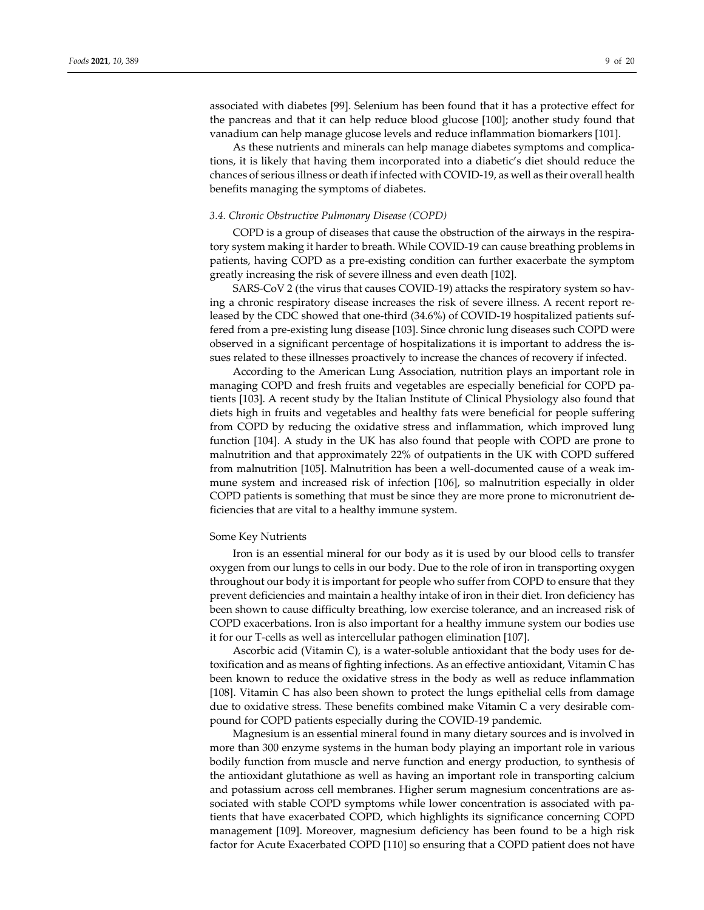associated with diabetes [99]. Selenium has been found that it has a protective effect for the pancreas and that it can help reduce blood glucose [100]; another study found that vanadium can help manage glucose levels and reduce inflammation biomarkers [101].

As these nutrients and minerals can help manage diabetes symptoms and complications, it is likely that having them incorporated into a diabetic's diet should reduce the chances of serious illness or death if infected with COVID-19, as well as their overall health benefits managing the symptoms of diabetes.

#### *3.4. Chronic Obstructive Pulmonary Disease (COPD)*

COPD is a group of diseases that cause the obstruction of the airways in the respiratory system making it harder to breath. While COVID-19 can cause breathing problems in patients, having COPD as a pre-existing condition can further exacerbate the symptom greatly increasing the risk of severe illness and even death [102].

SARS-CoV 2 (the virus that causes COVID-19) attacks the respiratory system so having a chronic respiratory disease increases the risk of severe illness. A recent report released by the CDC showed that one-third (34.6%) of COVID-19 hospitalized patients suffered from a pre-existing lung disease [103]. Since chronic lung diseases such COPD were observed in a significant percentage of hospitalizations it is important to address the issues related to these illnesses proactively to increase the chances of recovery if infected.

According to the American Lung Association, nutrition plays an important role in managing COPD and fresh fruits and vegetables are especially beneficial for COPD patients [103]. A recent study by the Italian Institute of Clinical Physiology also found that diets high in fruits and vegetables and healthy fats were beneficial for people suffering from COPD by reducing the oxidative stress and inflammation, which improved lung function [104]. A study in the UK has also found that people with COPD are prone to malnutrition and that approximately 22% of outpatients in the UK with COPD suffered from malnutrition [105]. Malnutrition has been a well-documented cause of a weak immune system and increased risk of infection [106], so malnutrition especially in older COPD patients is something that must be since they are more prone to micronutrient deficiencies that are vital to a healthy immune system.

#### Some Key Nutrients

Iron is an essential mineral for our body as it is used by our blood cells to transfer oxygen from our lungs to cells in our body. Due to the role of iron in transporting oxygen throughout our body it is important for people who suffer from COPD to ensure that they prevent deficiencies and maintain a healthy intake of iron in their diet. Iron deficiency has been shown to cause difficulty breathing, low exercise tolerance, and an increased risk of COPD exacerbations. Iron is also important for a healthy immune system our bodies use it for our T-cells as well as intercellular pathogen elimination [107].

Ascorbic acid (Vitamin C), is a water-soluble antioxidant that the body uses for detoxification and as means of fighting infections. As an effective antioxidant, Vitamin C has been known to reduce the oxidative stress in the body as well as reduce inflammation [108]. Vitamin C has also been shown to protect the lungs epithelial cells from damage due to oxidative stress. These benefits combined make Vitamin C a very desirable compound for COPD patients especially during the COVID-19 pandemic.

Magnesium is an essential mineral found in many dietary sources and is involved in more than 300 enzyme systems in the human body playing an important role in various bodily function from muscle and nerve function and energy production, to synthesis of the antioxidant glutathione as well as having an important role in transporting calcium and potassium across cell membranes. Higher serum magnesium concentrations are associated with stable COPD symptoms while lower concentration is associated with patients that have exacerbated COPD, which highlights its significance concerning COPD management [109]. Moreover, magnesium deficiency has been found to be a high risk factor for Acute Exacerbated COPD [110] so ensuring that a COPD patient does not have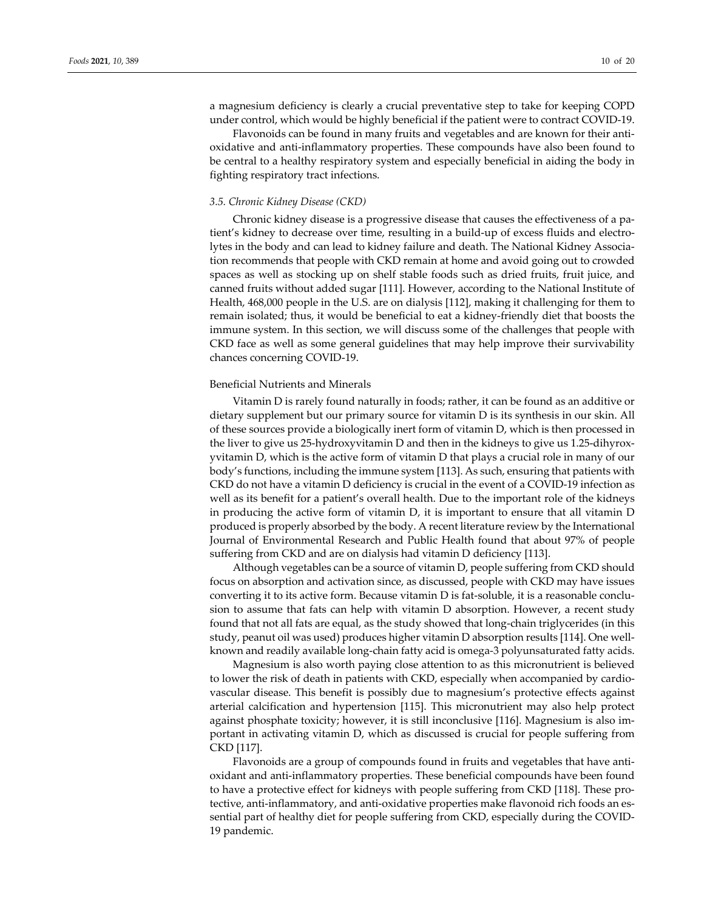a magnesium deficiency is clearly a crucial preventative step to take for keeping COPD under control, which would be highly beneficial if the patient were to contract COVID-19.

Flavonoids can be found in many fruits and vegetables and are known for their antioxidative and anti-inflammatory properties. These compounds have also been found to be central to a healthy respiratory system and especially beneficial in aiding the body in fighting respiratory tract infections.

#### *3.5. Chronic Kidney Disease (CKD)*

Chronic kidney disease is a progressive disease that causes the effectiveness of a patient's kidney to decrease over time, resulting in a build-up of excess fluids and electrolytes in the body and can lead to kidney failure and death. The National Kidney Association recommends that people with CKD remain at home and avoid going out to crowded spaces as well as stocking up on shelf stable foods such as dried fruits, fruit juice, and canned fruits without added sugar [111]. However, according to the National Institute of Health, 468,000 people in the U.S. are on dialysis [112], making it challenging for them to remain isolated; thus, it would be beneficial to eat a kidney-friendly diet that boosts the immune system. In this section, we will discuss some of the challenges that people with CKD face as well as some general guidelines that may help improve their survivability chances concerning COVID-19.

#### Beneficial Nutrients and Minerals

Vitamin D is rarely found naturally in foods; rather, it can be found as an additive or dietary supplement but our primary source for vitamin D is its synthesis in our skin. All of these sources provide a biologically inert form of vitamin D, which is then processed in the liver to give us 25-hydroxyvitamin D and then in the kidneys to give us 1.25-dihyroxyvitamin D, which is the active form of vitamin D that plays a crucial role in many of our body's functions, including the immune system [113]. As such, ensuring that patients with CKD do not have a vitamin D deficiency is crucial in the event of a COVID-19 infection as well as its benefit for a patient's overall health. Due to the important role of the kidneys in producing the active form of vitamin D, it is important to ensure that all vitamin D produced is properly absorbed by the body. A recent literature review by the International Journal of Environmental Research and Public Health found that about 97% of people suffering from CKD and are on dialysis had vitamin D deficiency [113].

Although vegetables can be a source of vitamin D, people suffering from CKD should focus on absorption and activation since, as discussed, people with CKD may have issues converting it to its active form. Because vitamin D is fat-soluble, it is a reasonable conclusion to assume that fats can help with vitamin D absorption. However, a recent study found that not all fats are equal, as the study showed that long-chain triglycerides (in this study, peanut oil was used) produces higher vitamin D absorption results [114]. One wellknown and readily available long-chain fatty acid is omega-3 polyunsaturated fatty acids.

Magnesium is also worth paying close attention to as this micronutrient is believed to lower the risk of death in patients with CKD, especially when accompanied by cardiovascular disease. This benefit is possibly due to magnesium's protective effects against arterial calcification and hypertension [115]. This micronutrient may also help protect against phosphate toxicity; however, it is still inconclusive [116]. Magnesium is also important in activating vitamin D, which as discussed is crucial for people suffering from CKD [117].

Flavonoids are a group of compounds found in fruits and vegetables that have antioxidant and anti-inflammatory properties. These beneficial compounds have been found to have a protective effect for kidneys with people suffering from CKD [118]. These protective, anti-inflammatory, and anti-oxidative properties make flavonoid rich foods an essential part of healthy diet for people suffering from CKD, especially during the COVID-19 pandemic.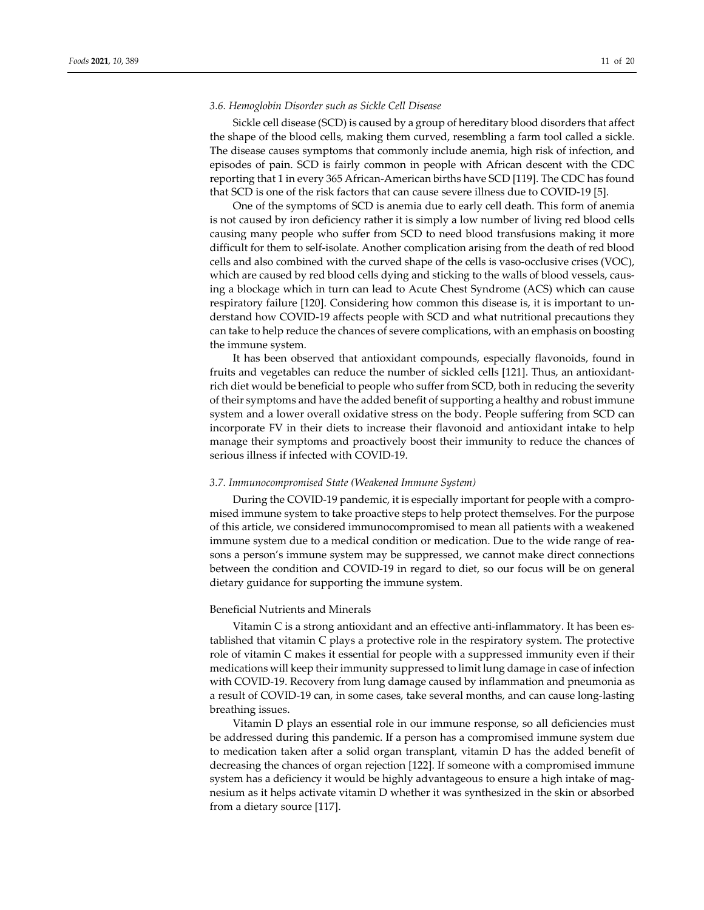#### *3.6. Hemoglobin Disorder such as Sickle Cell Disease*

Sickle cell disease (SCD) is caused by a group of hereditary blood disorders that affect the shape of the blood cells, making them curved, resembling a farm tool called a sickle. The disease causes symptoms that commonly include anemia, high risk of infection, and episodes of pain. SCD is fairly common in people with African descent with the CDC reporting that 1 in every 365 African-American births have SCD [119]. The CDC has found that SCD is one of the risk factors that can cause severe illness due to COVID-19 [5].

One of the symptoms of SCD is anemia due to early cell death. This form of anemia is not caused by iron deficiency rather it is simply a low number of living red blood cells causing many people who suffer from SCD to need blood transfusions making it more difficult for them to self-isolate. Another complication arising from the death of red blood cells and also combined with the curved shape of the cells is vaso-occlusive crises (VOC), which are caused by red blood cells dying and sticking to the walls of blood vessels, causing a blockage which in turn can lead to Acute Chest Syndrome (ACS) which can cause respiratory failure [120]. Considering how common this disease is, it is important to understand how COVID-19 affects people with SCD and what nutritional precautions they can take to help reduce the chances of severe complications, with an emphasis on boosting the immune system.

It has been observed that antioxidant compounds, especially flavonoids, found in fruits and vegetables can reduce the number of sickled cells [121]. Thus, an antioxidantrich diet would be beneficial to people who suffer from SCD, both in reducing the severity of their symptoms and have the added benefit of supporting a healthy and robust immune system and a lower overall oxidative stress on the body. People suffering from SCD can incorporate FV in their diets to increase their flavonoid and antioxidant intake to help manage their symptoms and proactively boost their immunity to reduce the chances of serious illness if infected with COVID-19.

#### *3.7. Immunocompromised State (Weakened Immune System)*

During the COVID-19 pandemic, it is especially important for people with a compromised immune system to take proactive steps to help protect themselves. For the purpose of this article, we considered immunocompromised to mean all patients with a weakened immune system due to a medical condition or medication. Due to the wide range of reasons a person's immune system may be suppressed, we cannot make direct connections between the condition and COVID-19 in regard to diet, so our focus will be on general dietary guidance for supporting the immune system.

#### Beneficial Nutrients and Minerals

Vitamin C is a strong antioxidant and an effective anti-inflammatory. It has been established that vitamin C plays a protective role in the respiratory system. The protective role of vitamin C makes it essential for people with a suppressed immunity even if their medications will keep their immunity suppressed to limit lung damage in case of infection with COVID-19. Recovery from lung damage caused by inflammation and pneumonia as a result of COVID-19 can, in some cases, take several months, and can cause long-lasting breathing issues.

Vitamin D plays an essential role in our immune response, so all deficiencies must be addressed during this pandemic. If a person has a compromised immune system due to medication taken after a solid organ transplant, vitamin D has the added benefit of decreasing the chances of organ rejection [122]. If someone with a compromised immune system has a deficiency it would be highly advantageous to ensure a high intake of magnesium as it helps activate vitamin D whether it was synthesized in the skin or absorbed from a dietary source [117].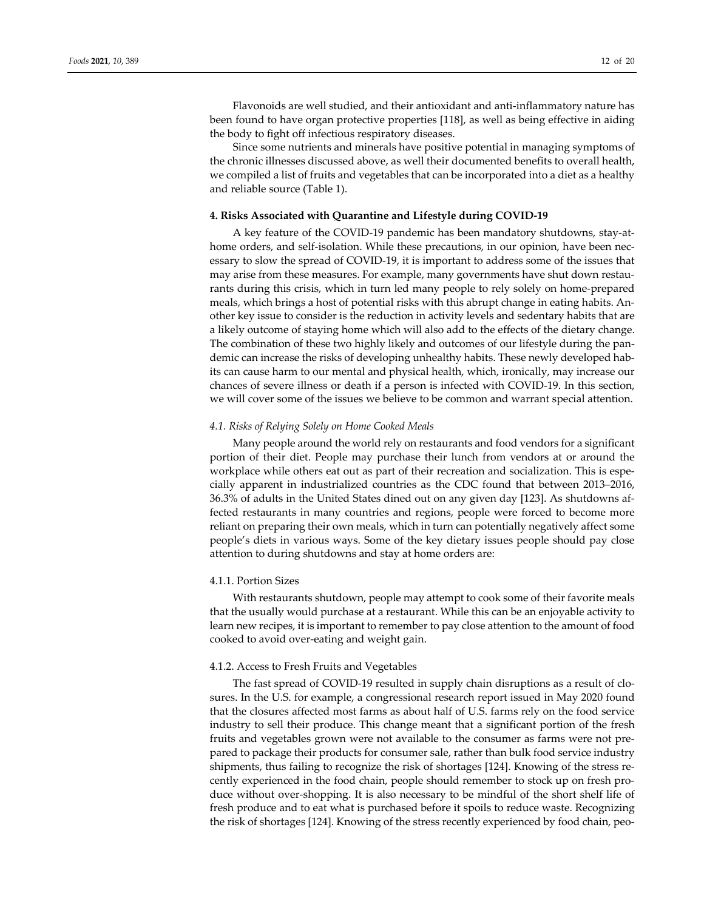Flavonoids are well studied, and their antioxidant and anti-inflammatory nature has been found to have organ protective properties [118], as well as being effective in aiding the body to fight off infectious respiratory diseases.

Since some nutrients and minerals have positive potential in managing symptoms of the chronic illnesses discussed above, as well their documented benefits to overall health, we compiled a list of fruits and vegetables that can be incorporated into a diet as a healthy and reliable source (Table 1).

#### **4. Risks Associated with Quarantine and Lifestyle during COVID-19**

A key feature of the COVID-19 pandemic has been mandatory shutdowns, stay-athome orders, and self-isolation. While these precautions, in our opinion, have been necessary to slow the spread of COVID-19, it is important to address some of the issues that may arise from these measures. For example, many governments have shut down restaurants during this crisis, which in turn led many people to rely solely on home-prepared meals, which brings a host of potential risks with this abrupt change in eating habits. Another key issue to consider is the reduction in activity levels and sedentary habits that are a likely outcome of staying home which will also add to the effects of the dietary change. The combination of these two highly likely and outcomes of our lifestyle during the pandemic can increase the risks of developing unhealthy habits. These newly developed habits can cause harm to our mental and physical health, which, ironically, may increase our chances of severe illness or death if a person is infected with COVID-19. In this section, we will cover some of the issues we believe to be common and warrant special attention.

#### *4.1. Risks of Relying Solely on Home Cooked Meals*

Many people around the world rely on restaurants and food vendors for a significant portion of their diet. People may purchase their lunch from vendors at or around the workplace while others eat out as part of their recreation and socialization. This is especially apparent in industrialized countries as the CDC found that between 2013–2016, 36.3% of adults in the United States dined out on any given day [123]. As shutdowns affected restaurants in many countries and regions, people were forced to become more reliant on preparing their own meals, which in turn can potentially negatively affect some people's diets in various ways. Some of the key dietary issues people should pay close attention to during shutdowns and stay at home orders are:

#### 4.1.1. Portion Sizes

With restaurants shutdown, people may attempt to cook some of their favorite meals that the usually would purchase at a restaurant. While this can be an enjoyable activity to learn new recipes, it is important to remember to pay close attention to the amount of food cooked to avoid over-eating and weight gain.

#### 4.1.2. Access to Fresh Fruits and Vegetables

The fast spread of COVID-19 resulted in supply chain disruptions as a result of closures. In the U.S. for example, a congressional research report issued in May 2020 found that the closures affected most farms as about half of U.S. farms rely on the food service industry to sell their produce. This change meant that a significant portion of the fresh fruits and vegetables grown were not available to the consumer as farms were not prepared to package their products for consumer sale, rather than bulk food service industry shipments, thus failing to recognize the risk of shortages [124]. Knowing of the stress recently experienced in the food chain, people should remember to stock up on fresh produce without over-shopping. It is also necessary to be mindful of the short shelf life of fresh produce and to eat what is purchased before it spoils to reduce waste. Recognizing the risk of shortages [124]. Knowing of the stress recently experienced by food chain, peo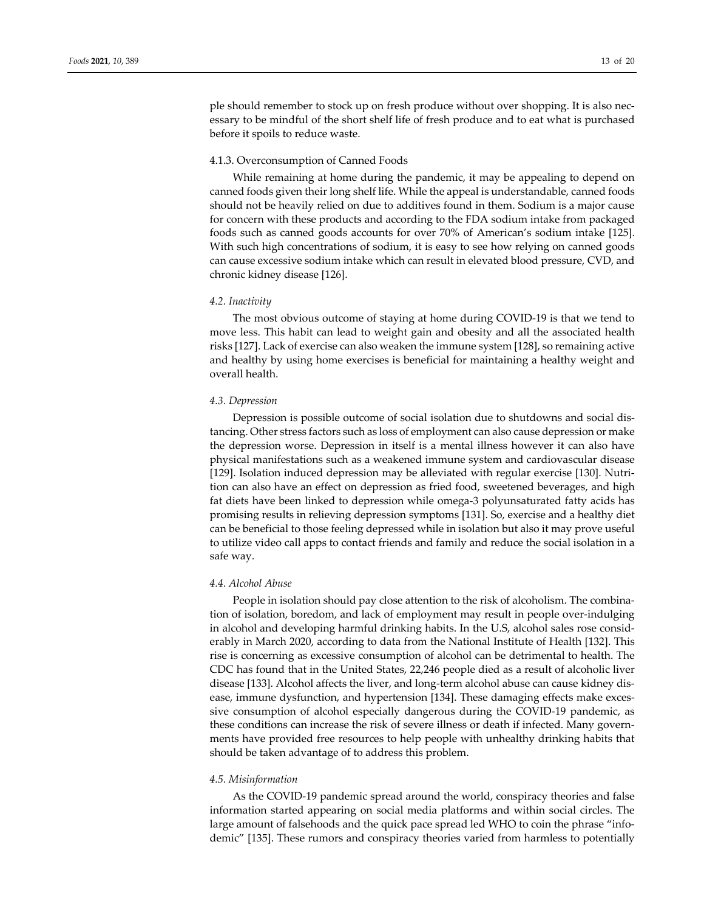ple should remember to stock up on fresh produce without over shopping. It is also necessary to be mindful of the short shelf life of fresh produce and to eat what is purchased before it spoils to reduce waste.

#### 4.1.3. Overconsumption of Canned Foods

While remaining at home during the pandemic, it may be appealing to depend on canned foods given their long shelf life. While the appeal is understandable, canned foods should not be heavily relied on due to additives found in them. Sodium is a major cause for concern with these products and according to the FDA sodium intake from packaged foods such as canned goods accounts for over 70% of American's sodium intake [125]. With such high concentrations of sodium, it is easy to see how relying on canned goods can cause excessive sodium intake which can result in elevated blood pressure, CVD, and chronic kidney disease [126].

### *4.2. Inactivity*

The most obvious outcome of staying at home during COVID-19 is that we tend to move less. This habit can lead to weight gain and obesity and all the associated health risks [127]. Lack of exercise can also weaken the immune system [128], so remaining active and healthy by using home exercises is beneficial for maintaining a healthy weight and overall health.

#### *4.3. Depression*

Depression is possible outcome of social isolation due to shutdowns and social distancing. Other stress factors such as loss of employment can also cause depression or make the depression worse. Depression in itself is a mental illness however it can also have physical manifestations such as a weakened immune system and cardiovascular disease [129]. Isolation induced depression may be alleviated with regular exercise [130]. Nutrition can also have an effect on depression as fried food, sweetened beverages, and high fat diets have been linked to depression while omega-3 polyunsaturated fatty acids has promising results in relieving depression symptoms [131]. So, exercise and a healthy diet can be beneficial to those feeling depressed while in isolation but also it may prove useful to utilize video call apps to contact friends and family and reduce the social isolation in a safe way.

#### *4.4. Alcohol Abuse*

People in isolation should pay close attention to the risk of alcoholism. The combination of isolation, boredom, and lack of employment may result in people over-indulging in alcohol and developing harmful drinking habits. In the U.S, alcohol sales rose considerably in March 2020, according to data from the National Institute of Health [132]. This rise is concerning as excessive consumption of alcohol can be detrimental to health. The CDC has found that in the United States, 22,246 people died as a result of alcoholic liver disease [133]. Alcohol affects the liver, and long-term alcohol abuse can cause kidney disease, immune dysfunction, and hypertension [134]. These damaging effects make excessive consumption of alcohol especially dangerous during the COVID-19 pandemic, as these conditions can increase the risk of severe illness or death if infected. Many governments have provided free resources to help people with unhealthy drinking habits that should be taken advantage of to address this problem.

#### *4.5. Misinformation*

As the COVID-19 pandemic spread around the world, conspiracy theories and false information started appearing on social media platforms and within social circles. The large amount of falsehoods and the quick pace spread led WHO to coin the phrase "infodemic" [135]. These rumors and conspiracy theories varied from harmless to potentially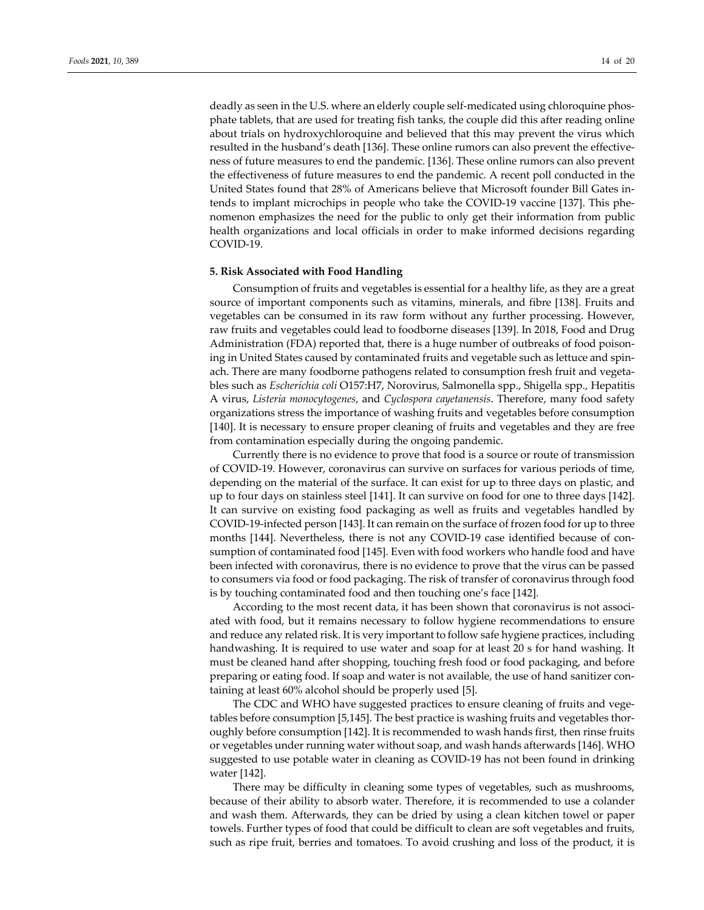deadly as seen in the U.S. where an elderly couple self-medicated using chloroquine phosphate tablets, that are used for treating fish tanks, the couple did this after reading online about trials on hydroxychloroquine and believed that this may prevent the virus which resulted in the husband's death [136]. These online rumors can also prevent the effectiveness of future measures to end the pandemic. [136]. These online rumors can also prevent the effectiveness of future measures to end the pandemic. A recent poll conducted in the United States found that 28% of Americans believe that Microsoft founder Bill Gates intends to implant microchips in people who take the COVID-19 vaccine [137]. This phenomenon emphasizes the need for the public to only get their information from public health organizations and local officials in order to make informed decisions regarding COVID-19.

#### **5. Risk Associated with Food Handling**

Consumption of fruits and vegetables is essential for a healthy life, as they are a great source of important components such as vitamins, minerals, and fibre [138]. Fruits and vegetables can be consumed in its raw form without any further processing. However, raw fruits and vegetables could lead to foodborne diseases [139]. In 2018, Food and Drug Administration (FDA) reported that, there is a huge number of outbreaks of food poisoning in United States caused by contaminated fruits and vegetable such as lettuce and spinach. There are many foodborne pathogens related to consumption fresh fruit and vegetables such as *Escherichia coli* O157:H7, Norovirus, Salmonella spp., Shigella spp., Hepatitis A virus, *Listeria monocytogenes*, and *Cyclospora cayetanensis*. Therefore, many food safety organizations stress the importance of washing fruits and vegetables before consumption [140]. It is necessary to ensure proper cleaning of fruits and vegetables and they are free from contamination especially during the ongoing pandemic.

Currently there is no evidence to prove that food is a source or route of transmission of COVID-19. However, coronavirus can survive on surfaces for various periods of time, depending on the material of the surface. It can exist for up to three days on plastic, and up to four days on stainless steel [141]. It can survive on food for one to three days [142]. It can survive on existing food packaging as well as fruits and vegetables handled by COVID-19-infected person [143]. It can remain on the surface of frozen food for up to three months [144]. Nevertheless, there is not any COVID-19 case identified because of consumption of contaminated food [145]. Even with food workers who handle food and have been infected with coronavirus, there is no evidence to prove that the virus can be passed to consumers via food or food packaging. The risk of transfer of coronavirus through food is by touching contaminated food and then touching one's face [142].

According to the most recent data, it has been shown that coronavirus is not associated with food, but it remains necessary to follow hygiene recommendations to ensure and reduce any related risk. It is very important to follow safe hygiene practices, including handwashing. It is required to use water and soap for at least 20 s for hand washing. It must be cleaned hand after shopping, touching fresh food or food packaging, and before preparing or eating food. If soap and water is not available, the use of hand sanitizer containing at least 60% alcohol should be properly used [5].

The CDC and WHO have suggested practices to ensure cleaning of fruits and vegetables before consumption [5,145]. The best practice is washing fruits and vegetables thoroughly before consumption [142]. It is recommended to wash hands first, then rinse fruits or vegetables under running water without soap, and wash hands afterwards [146]. WHO suggested to use potable water in cleaning as COVID-19 has not been found in drinking water [142].

There may be difficulty in cleaning some types of vegetables, such as mushrooms, because of their ability to absorb water. Therefore, it is recommended to use a colander and wash them. Afterwards, they can be dried by using a clean kitchen towel or paper towels. Further types of food that could be difficult to clean are soft vegetables and fruits, such as ripe fruit, berries and tomatoes. To avoid crushing and loss of the product, it is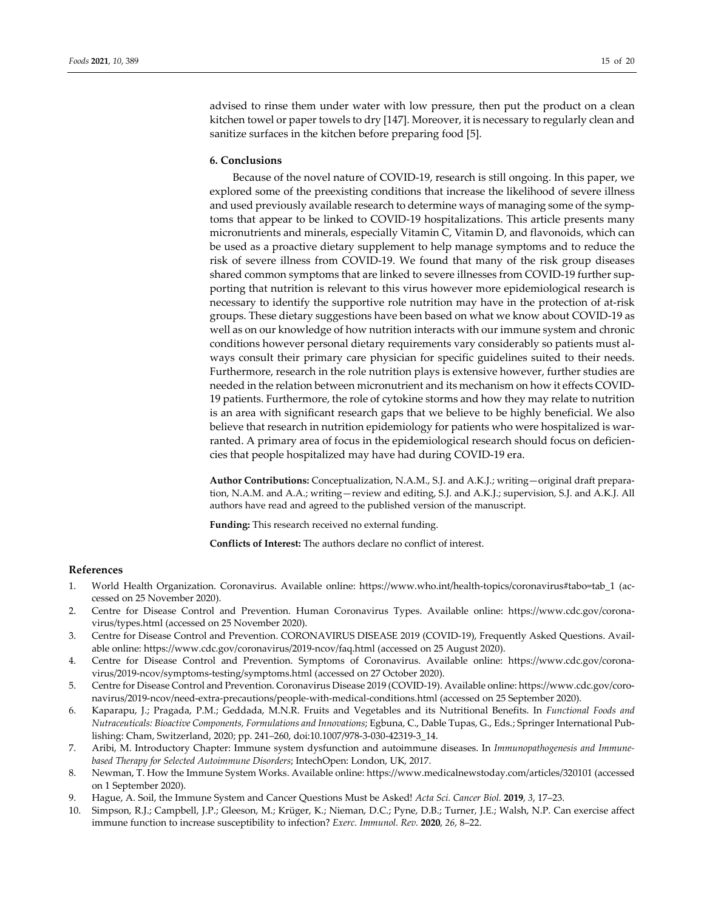advised to rinse them under water with low pressure, then put the product on a clean kitchen towel or paper towels to dry [147]. Moreover, it is necessary to regularly clean and sanitize surfaces in the kitchen before preparing food [5].

#### **6. Conclusions**

Because of the novel nature of COVID-19, research is still ongoing. In this paper, we explored some of the preexisting conditions that increase the likelihood of severe illness and used previously available research to determine ways of managing some of the symptoms that appear to be linked to COVID-19 hospitalizations. This article presents many micronutrients and minerals, especially Vitamin C, Vitamin D, and flavonoids, which can be used as a proactive dietary supplement to help manage symptoms and to reduce the risk of severe illness from COVID-19. We found that many of the risk group diseases shared common symptoms that are linked to severe illnesses from COVID-19 further supporting that nutrition is relevant to this virus however more epidemiological research is necessary to identify the supportive role nutrition may have in the protection of at-risk groups. These dietary suggestions have been based on what we know about COVID-19 as well as on our knowledge of how nutrition interacts with our immune system and chronic conditions however personal dietary requirements vary considerably so patients must always consult their primary care physician for specific guidelines suited to their needs. Furthermore, research in the role nutrition plays is extensive however, further studies are needed in the relation between micronutrient and its mechanism on how it effects COVID-19 patients. Furthermore, the role of cytokine storms and how they may relate to nutrition is an area with significant research gaps that we believe to be highly beneficial. We also believe that research in nutrition epidemiology for patients who were hospitalized is warranted. A primary area of focus in the epidemiological research should focus on deficiencies that people hospitalized may have had during COVID-19 era.

**Author Contributions:** Conceptualization, N.A.M., S.J. and A.K.J.; writing—original draft preparation, N.A.M. and A.A.; writing—review and editing, S.J. and A.K.J.; supervision, S.J. and A.K.J. All authors have read and agreed to the published version of the manuscript.

**Funding:** This research received no external funding.

**Conflicts of Interest:** The authors declare no conflict of interest.

#### **References**

- 1. World Health Organization. Coronavirus. Available online: https://www.who.int/health-topics/coronavirus#tabo=tab\_1 (accessed on 25 November 2020).
- 2. Centre for Disease Control and Prevention. Human Coronavirus Types. Available online: https://www.cdc.gov/coronavirus/types.html (accessed on 25 November 2020).
- 3. Centre for Disease Control and Prevention. CORONAVIRUS DISEASE 2019 (COVID-19), Frequently Asked Questions. Available online: https://www.cdc.gov/coronavirus/2019-ncov/faq.html (accessed on 25 August 2020).
- 4. Centre for Disease Control and Prevention. Symptoms of Coronavirus. Available online: https://www.cdc.gov/coronavirus/2019-ncov/symptoms-testing/symptoms.html (accessed on 27 October 2020).
- 5. Centre for Disease Control and Prevention. Coronavirus Disease 2019 (COVID-19). Available online: https://www.cdc.gov/coronavirus/2019-ncov/need-extra-precautions/people-with-medical-conditions.html (accessed on 25 September 2020).
- 6. Kaparapu, J.; Pragada, P.M.; Geddada, M.N.R. Fruits and Vegetables and its Nutritional Benefits. In *Functional Foods and Nutraceuticals: Bioactive Components, Formulations and Innovations*; Egbuna, C., Dable Tupas, G., Eds.; Springer International Publishing: Cham, Switzerland, 2020; pp. 241–260, doi:10.1007/978-3-030-42319-3\_14.
- 7. Aribi, M. Introductory Chapter: Immune system dysfunction and autoimmune diseases. In *Immunopathogenesis and Immunebased Therapy for Selected Autoimmune Disorders*; IntechOpen: London, UK, 2017.
- 8. Newman, T. How the Immune System Works. Available online: https://www.medicalnewstoday.com/articles/320101 (accessed on 1 September 2020).
- 9. Hague, A. Soil, the Immune System and Cancer Questions Must be Asked! *Acta Sci. Cancer Biol.* **2019**, *3*, 17–23.
- 10. Simpson, R.J.; Campbell, J.P.; Gleeson, M.; Krüger, K.; Nieman, D.C.; Pyne, D.B.; Turner, J.E.; Walsh, N.P. Can exercise affect immune function to increase susceptibility to infection? *Exerc. Immunol. Rev.* **2020**, *26*, 8–22.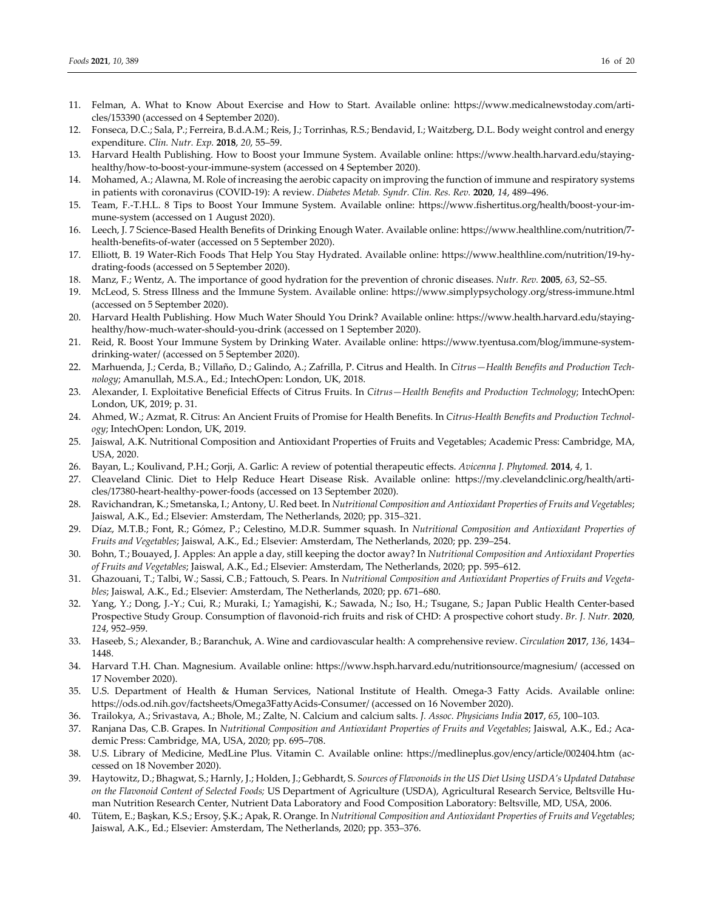- 11. Felman, A. What to Know About Exercise and How to Start. Available online: https://www.medicalnewstoday.com/articles/153390 (accessed on 4 September 2020).
- 12. Fonseca, D.C.; Sala, P.; Ferreira, B.d.A.M.; Reis, J.; Torrinhas, R.S.; Bendavid, I.; Waitzberg, D.L. Body weight control and energy expenditure. *Clin. Nutr. Exp.* **2018**, *20*, 55–59.
- 13. Harvard Health Publishing. How to Boost your Immune System. Available online: https://www.health.harvard.edu/stayinghealthy/how-to-boost-your-immune-system (accessed on 4 September 2020).
- 14. Mohamed, A.; Alawna, M. Role of increasing the aerobic capacity on improving the function of immune and respiratory systems in patients with coronavirus (COVID-19): A review. *Diabetes Metab. Syndr. Clin. Res. Rev.* **2020**, *14*, 489–496.
- 15. Team, F.-T.H.L. 8 Tips to Boost Your Immune System. Available online: https://www.fishertitus.org/health/boost-your-immune-system (accessed on 1 August 2020).
- 16. Leech, J. 7 Science-Based Health Benefits of Drinking Enough Water. Available online: https://www.healthline.com/nutrition/7 health-benefits-of-water (accessed on 5 September 2020).
- 17. Elliott, B. 19 Water-Rich Foods That Help You Stay Hydrated. Available online: https://www.healthline.com/nutrition/19-hydrating-foods (accessed on 5 September 2020).
- 18. Manz, F.; Wentz, A. The importance of good hydration for the prevention of chronic diseases. *Nutr. Rev.* **2005**, *63*, S2–S5.
- 19. McLeod, S. Stress Illness and the Immune System. Available online: https://www.simplypsychology.org/stress-immune.html (accessed on 5 September 2020).
- 20. Harvard Health Publishing. How Much Water Should You Drink? Available online: https://www.health.harvard.edu/stayinghealthy/how-much-water-should-you-drink (accessed on 1 September 2020).
- 21. Reid, R. Boost Your Immune System by Drinking Water. Available online: https://www.tyentusa.com/blog/immune-systemdrinking-water/ (accessed on 5 September 2020).
- 22. Marhuenda, J.; Cerda, B.; Villaño, D.; Galindo, A.; Zafrilla, P. Citrus and Health. In *Citrus—Health Benefits and Production Technology*; Amanullah, M.S.A., Ed.; IntechOpen: London, UK, 2018.
- 23. Alexander, I. Exploitative Beneficial Effects of Citrus Fruits. In *Citrus—Health Benefits and Production Technology*; IntechOpen: London, UK, 2019; p. 31.
- 24. Ahmed, W.; Azmat, R. Citrus: An Ancient Fruits of Promise for Health Benefits. In *Citrus-Health Benefits and Production Technology*; IntechOpen: London, UK, 2019.
- 25. Jaiswal, A.K. Nutritional Composition and Antioxidant Properties of Fruits and Vegetables; Academic Press: Cambridge, MA, USA, 2020.
- 26. Bayan, L.; Koulivand, P.H.; Gorji, A. Garlic: A review of potential therapeutic effects. *Avicenna J. Phytomed.* **2014**, *4*, 1.
- 27. Cleaveland Clinic. Diet to Help Reduce Heart Disease Risk. Available online: https://my.clevelandclinic.org/health/articles/17380-heart-healthy-power-foods (accessed on 13 September 2020).
- 28. Ravichandran, K.; Smetanska, I.; Antony, U. Red beet. In *Nutritional Composition and Antioxidant Properties of Fruits and Vegetables*; Jaiswal, A.K., Ed.; Elsevier: Amsterdam, The Netherlands, 2020; pp. 315–321.
- 29. Díaz, M.T.B.; Font, R.; Gómez, P.; Celestino, M.D.R. Summer squash. In *Nutritional Composition and Antioxidant Properties of Fruits and Vegetables*; Jaiswal, A.K., Ed.; Elsevier: Amsterdam, The Netherlands, 2020; pp. 239–254.
- 30. Bohn, T.; Bouayed, J. Apples: An apple a day, still keeping the doctor away? In *Nutritional Composition and Antioxidant Properties of Fruits and Vegetables*; Jaiswal, A.K., Ed.; Elsevier: Amsterdam, The Netherlands, 2020; pp. 595–612.
- 31. Ghazouani, T.; Talbi, W.; Sassi, C.B.; Fattouch, S. Pears. In *Nutritional Composition and Antioxidant Properties of Fruits and Vegetables*; Jaiswal, A.K., Ed.; Elsevier: Amsterdam, The Netherlands, 2020; pp. 671–680.
- 32. Yang, Y.; Dong, J.-Y.; Cui, R.; Muraki, I.; Yamagishi, K.; Sawada, N.; Iso, H.; Tsugane, S.; Japan Public Health Center-based Prospective Study Group. Consumption of flavonoid-rich fruits and risk of CHD: A prospective cohort study. *Br. J. Nutr.* **2020**, *124*, 952–959.
- 33. Haseeb, S.; Alexander, B.; Baranchuk, A. Wine and cardiovascular health: A comprehensive review. *Circulation* **2017**, *136*, 1434– 1448.
- 34. Harvard T.H. Chan. Magnesium. Available online: https://www.hsph.harvard.edu/nutritionsource/magnesium/ (accessed on 17 November 2020).
- 35. U.S. Department of Health & Human Services, National Institute of Health. Omega-3 Fatty Acids. Available online: https://ods.od.nih.gov/factsheets/Omega3FattyAcids-Consumer/ (accessed on 16 November 2020).
- 36. Trailokya, A.; Srivastava, A.; Bhole, M.; Zalte, N. Calcium and calcium salts. *J. Assoc. Physicians India* **2017**, *65*, 100–103.
- 37. Ranjana Das, C.B. Grapes. In *Nutritional Composition and Antioxidant Properties of Fruits and Vegetables*; Jaiswal, A.K., Ed.; Academic Press: Cambridge, MA, USA, 2020; pp. 695–708.
- 38. U.S. Library of Medicine, MedLine Plus. Vitamin C. Available online: https://medlineplus.gov/ency/article/002404.htm (accessed on 18 November 2020).
- 39. Haytowitz, D.; Bhagwat, S.; Harnly, J.; Holden, J.; Gebhardt, S. *Sources of Flavonoids in the US Diet Using USDA's Updated Database on the Flavonoid Content of Selected Foods;* US Department of Agriculture (USDA), Agricultural Research Service, Beltsville Human Nutrition Research Center, Nutrient Data Laboratory and Food Composition Laboratory: Beltsville, MD, USA, 2006.
- 40. Tütem, E.; Başkan, K.S.; Ersoy, Ş.K.; Apak, R. Orange. In *Nutritional Composition and Antioxidant Properties of Fruits and Vegetables*; Jaiswal, A.K., Ed.; Elsevier: Amsterdam, The Netherlands, 2020; pp. 353–376.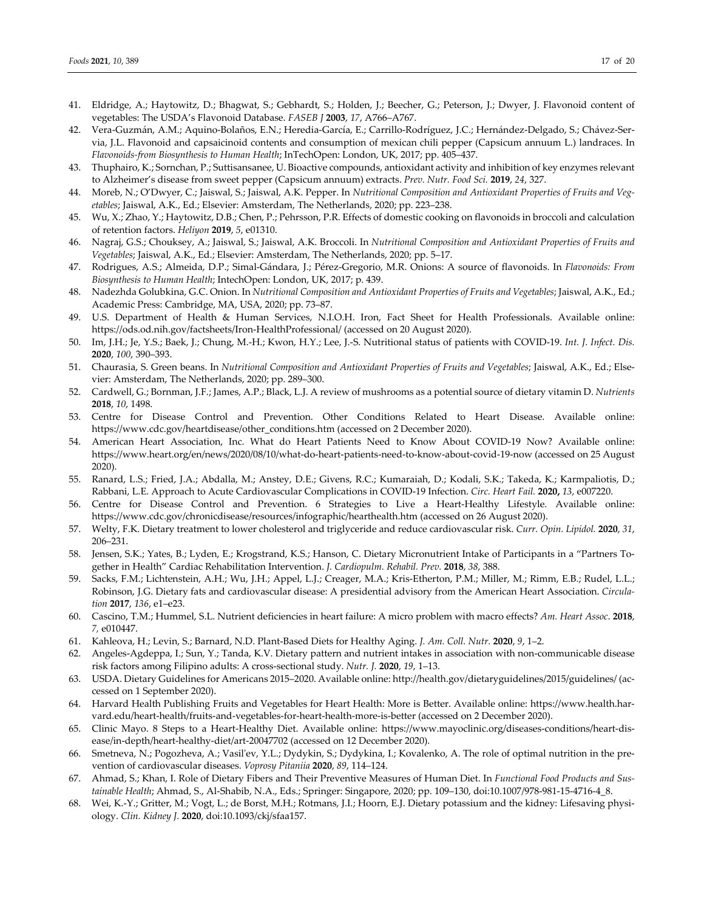- 41. Eldridge, A.; Haytowitz, D.; Bhagwat, S.; Gebhardt, S.; Holden, J.; Beecher, G.; Peterson, J.; Dwyer, J. Flavonoid content of vegetables: The USDA's Flavonoid Database. *FASEB J* **2003**, *17*, A766–A767.
- 42. Vera-Guzmán, A.M.; Aquino-Bolaños, E.N.; Heredia-García, E.; Carrillo-Rodríguez, J.C.; Hernández-Delgado, S.; Chávez-Servia, J.L. Flavonoid and capsaicinoid contents and consumption of mexican chili pepper (Capsicum annuum L.) landraces. In *Flavonoids-from Biosynthesis to Human Health*; InTechOpen: London, UK, 2017; pp. 405–437.
- 43. Thuphairo, K.; Sornchan, P.; Suttisansanee, U. Bioactive compounds, antioxidant activity and inhibition of key enzymes relevant to Alzheimer's disease from sweet pepper (Capsicum annuum) extracts. *Prev. Nutr. Food Sci.* **2019**, *24*, 327.
- 44. Moreb, N.; O'Dwyer, C.; Jaiswal, S.; Jaiswal, A.K. Pepper. In *Nutritional Composition and Antioxidant Properties of Fruits and Vegetables*; Jaiswal, A.K., Ed.; Elsevier: Amsterdam, The Netherlands, 2020; pp. 223–238.
- 45. Wu, X.; Zhao, Y.; Haytowitz, D.B.; Chen, P.; Pehrsson, P.R. Effects of domestic cooking on flavonoids in broccoli and calculation of retention factors. *Heliyon* **2019**, *5*, e01310.
- 46. Nagraj, G.S.; Chouksey, A.; Jaiswal, S.; Jaiswal, A.K. Broccoli. In *Nutritional Composition and Antioxidant Properties of Fruits and Vegetables*; Jaiswal, A.K., Ed.; Elsevier: Amsterdam, The Netherlands, 2020; pp. 5–17.
- 47. Rodrigues, A.S.; Almeida, D.P.; Simal-Gándara, J.; Pérez-Gregorio, M.R. Onions: A source of flavonoids. In *Flavonoids: From Biosynthesis to Human Health*; IntechOpen: London, UK, 2017; p. 439.
- 48. Nadezhda Golubkina, G.C. Onion. In *Nutritional Composition and Antioxidant Properties of Fruits and Vegetables*; Jaiswal, A.K., Ed.; Academic Press: Cambridge, MA, USA, 2020; pp. 73–87.
- 49. U.S. Department of Health & Human Services, N.I.O.H. Iron, Fact Sheet for Health Professionals. Available online: https://ods.od.nih.gov/factsheets/Iron-HealthProfessional/ (accessed on 20 August 2020).
- 50. Im, J.H.; Je, Y.S.; Baek, J.; Chung, M.-H.; Kwon, H.Y.; Lee, J.-S. Nutritional status of patients with COVID-19. *Int. J. Infect. Dis.*  **2020**, *100*, 390–393.
- 51. Chaurasia, S. Green beans. In *Nutritional Composition and Antioxidant Properties of Fruits and Vegetables*; Jaiswal, A.K., Ed.; Elsevier: Amsterdam, The Netherlands, 2020; pp. 289–300.
- 52. Cardwell, G.; Bornman, J.F.; James, A.P.; Black, L.J. A review of mushrooms as a potential source of dietary vitamin D. *Nutrients*  **2018**, *10*, 1498.
- 53. Centre for Disease Control and Prevention. Other Conditions Related to Heart Disease. Available online: https://www.cdc.gov/heartdisease/other\_conditions.htm (accessed on 2 December 2020).
- 54. American Heart Association, Inc. What do Heart Patients Need to Know About COVID-19 Now? Available online: https://www.heart.org/en/news/2020/08/10/what-do-heart-patients-need-to-know-about-covid-19-now (accessed on 25 August 2020).
- 55. Ranard, L.S.; Fried, J.A.; Abdalla, M.; Anstey, D.E.; Givens, R.C.; Kumaraiah, D.; Kodali, S.K.; Takeda, K.; Karmpaliotis, D.; Rabbani, L.E. Approach to Acute Cardiovascular Complications in COVID-19 Infection. *Circ. Heart Fail.* **2020,** *13*, e007220.
- 56. Centre for Disease Control and Prevention. 6 Strategies to Live a Heart-Healthy Lifestyle. Available online: https://www.cdc.gov/chronicdisease/resources/infographic/hearthealth.htm (accessed on 26 August 2020).
- 57. Welty, F.K. Dietary treatment to lower cholesterol and triglyceride and reduce cardiovascular risk. *Curr. Opin. Lipidol.* **2020**, *31*, 206–231.
- 58. Jensen, S.K.; Yates, B.; Lyden, E.; Krogstrand, K.S.; Hanson, C. Dietary Micronutrient Intake of Participants in a "Partners Together in Health" Cardiac Rehabilitation Intervention. *J. Cardiopulm. Rehabil. Prev.* **2018**, *38*, 388.
- 59. Sacks, F.M.; Lichtenstein, A.H.; Wu, J.H.; Appel, L.J.; Creager, M.A.; Kris-Etherton, P.M.; Miller, M.; Rimm, E.B.; Rudel, L.L.; Robinson, J.G. Dietary fats and cardiovascular disease: A presidential advisory from the American Heart Association. *Circulation* **2017**, *136*, e1–e23.
- 60. Cascino, T.M.; Hummel, S.L. Nutrient deficiencies in heart failure: A micro problem with macro effects? *Am. Heart Assoc*. **2018**, *7,* e010447.
- 61. Kahleova, H.; Levin, S.; Barnard, N.D. Plant-Based Diets for Healthy Aging. *J. Am. Coll. Nutr.* **2020**, *9*, 1–2.
- 62. Angeles-Agdeppa, I.; Sun, Y.; Tanda, K.V. Dietary pattern and nutrient intakes in association with non-communicable disease risk factors among Filipino adults: A cross-sectional study. *Nutr. J.* **2020**, *19*, 1–13.
- 63. USDA. Dietary Guidelines for Americans 2015–2020. Available online: http://health.gov/dietaryguidelines/2015/guidelines/ (accessed on 1 September 2020).
- 64. Harvard Health Publishing Fruits and Vegetables for Heart Health: More is Better. Available online: https://www.health.harvard.edu/heart-health/fruits-and-vegetables-for-heart-health-more-is-better (accessed on 2 December 2020).
- 65. Clinic Mayo. 8 Steps to a Heart-Healthy Diet. Available online: https://www.mayoclinic.org/diseases-conditions/heart-disease/in-depth/heart-healthy-diet/art-20047702 (accessed on 12 December 2020).
- 66. Smetneva, N.; Pogozheva, A.; Vasil'ev, Y.L.; Dydykin, S.; Dydykina, I.; Kovalenko, A. The role of optimal nutrition in the prevention of cardiovascular diseases. *Voprosy Pitaniia* **2020**, *89*, 114–124.
- 67. Ahmad, S.; Khan, I. Role of Dietary Fibers and Their Preventive Measures of Human Diet. In *Functional Food Products and Sustainable Health*; Ahmad, S., Al-Shabib, N.A., Eds.; Springer: Singapore, 2020; pp. 109–130, doi:10.1007/978-981-15-4716-4\_8.
- 68. Wei, K.-Y.; Gritter, M.; Vogt, L.; de Borst, M.H.; Rotmans, J.I.; Hoorn, E.J. Dietary potassium and the kidney: Lifesaving physiology. *Clin. Kidney J.* **2020**, doi:10.1093/ckj/sfaa157.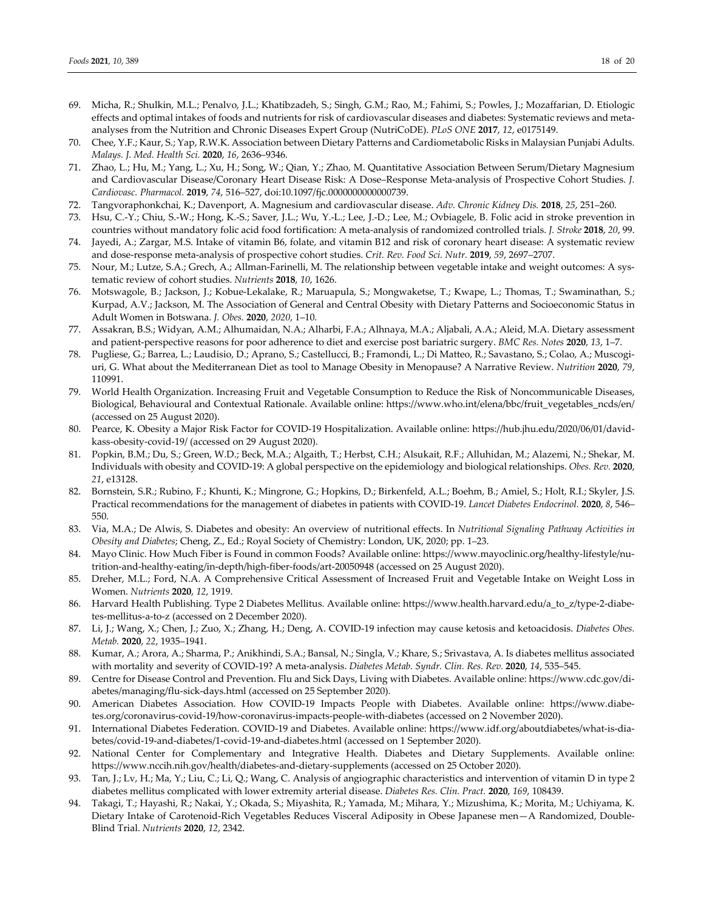- 69. Micha, R.; Shulkin, M.L.; Penalvo, J.L.; Khatibzadeh, S.; Singh, G.M.; Rao, M.; Fahimi, S.; Powles, J.; Mozaffarian, D. Etiologic effects and optimal intakes of foods and nutrients for risk of cardiovascular diseases and diabetes: Systematic reviews and metaanalyses from the Nutrition and Chronic Diseases Expert Group (NutriCoDE). *PLoS ONE* **2017**, *12*, e0175149.
- 70. Chee, Y.F.; Kaur, S.; Yap, R.W.K. Association between Dietary Patterns and Cardiometabolic Risks in Malaysian Punjabi Adults. *Malays. J. Med. Health Sci.* **2020**, *16*, 2636–9346.
- 71. Zhao, L.; Hu, M.; Yang, L.; Xu, H.; Song, W.; Qian, Y.; Zhao, M. Quantitative Association Between Serum/Dietary Magnesium and Cardiovascular Disease/Coronary Heart Disease Risk: A Dose–Response Meta-analysis of Prospective Cohort Studies. *J. Cardiovasc. Pharmacol.* **2019**, *74*, 516–527, doi:10.1097/fjc.0000000000000739.
- 72. Tangvoraphonkchai, K.; Davenport, A. Magnesium and cardiovascular disease. *Adv. Chronic Kidney Dis.* **2018**, *25*, 251–260.
- 73. Hsu, C.-Y.; Chiu, S.-W.; Hong, K.-S.; Saver, J.L.; Wu, Y.-L.; Lee, J.-D.; Lee, M.; Ovbiagele, B. Folic acid in stroke prevention in countries without mandatory folic acid food fortification: A meta-analysis of randomized controlled trials. *J. Stroke* **2018**, *20*, 99.
- 74. Jayedi, A.; Zargar, M.S. Intake of vitamin B6, folate, and vitamin B12 and risk of coronary heart disease: A systematic review and dose-response meta-analysis of prospective cohort studies. *Crit. Rev. Food Sci. Nutr.* **2019**, *59*, 2697–2707.
- 75. Nour, M.; Lutze, S.A.; Grech, A.; Allman-Farinelli, M. The relationship between vegetable intake and weight outcomes: A systematic review of cohort studies. *Nutrients* **2018**, *10*, 1626.
- 76. Motswagole, B.; Jackson, J.; Kobue-Lekalake, R.; Maruapula, S.; Mongwaketse, T.; Kwape, L.; Thomas, T.; Swaminathan, S.; Kurpad, A.V.; Jackson, M. The Association of General and Central Obesity with Dietary Patterns and Socioeconomic Status in Adult Women in Botswana. *J. Obes.* **2020**, *2020*, 1–10.
- 77. Assakran, B.S.; Widyan, A.M.; Alhumaidan, N.A.; Alharbi, F.A.; Alhnaya, M.A.; Aljabali, A.A.; Aleid, M.A. Dietary assessment and patient-perspective reasons for poor adherence to diet and exercise post bariatric surgery. *BMC Res. Notes* **2020**, *13*, 1–7.
- 78. Pugliese, G.; Barrea, L.; Laudisio, D.; Aprano, S.; Castellucci, B.; Framondi, L.; Di Matteo, R.; Savastano, S.; Colao, A.; Muscogiuri, G. What about the Mediterranean Diet as tool to Manage Obesity in Menopause? A Narrative Review. *Nutrition* **2020**, *79*, 110991.
- 79. World Health Organization. Increasing Fruit and Vegetable Consumption to Reduce the Risk of Noncommunicable Diseases, Biological, Behavioural and Contextual Rationale. Available online: https://www.who.int/elena/bbc/fruit\_vegetables\_ncds/en/ (accessed on 25 August 2020).
- 80. Pearce, K. Obesity a Major Risk Factor for COVID-19 Hospitalization. Available online: https://hub.jhu.edu/2020/06/01/davidkass-obesity-covid-19/ (accessed on 29 August 2020).
- 81. Popkin, B.M.; Du, S.; Green, W.D.; Beck, M.A.; Algaith, T.; Herbst, C.H.; Alsukait, R.F.; Alluhidan, M.; Alazemi, N.; Shekar, M. Individuals with obesity and COVID-19: A global perspective on the epidemiology and biological relationships. *Obes. Rev.* **2020**, *21*, e13128.
- 82. Bornstein, S.R.; Rubino, F.; Khunti, K.; Mingrone, G.; Hopkins, D.; Birkenfeld, A.L.; Boehm, B.; Amiel, S.; Holt, R.I.; Skyler, J.S. Practical recommendations for the management of diabetes in patients with COVID-19. *Lancet Diabetes Endocrinol.* **2020**, *8*, 546– 550.
- 83. Via, M.A.; De Alwis, S. Diabetes and obesity: An overview of nutritional effects. In *Nutritional Signaling Pathway Activities in Obesity and Diabetes*; Cheng, Z., Ed.; Royal Society of Chemistry: London, UK, 2020; pp. 1–23.
- 84. Mayo Clinic. How Much Fiber is Found in common Foods? Available online: https://www.mayoclinic.org/healthy-lifestyle/nutrition-and-healthy-eating/in-depth/high-fiber-foods/art-20050948 (accessed on 25 August 2020).
- 85. Dreher, M.L.; Ford, N.A. A Comprehensive Critical Assessment of Increased Fruit and Vegetable Intake on Weight Loss in Women. *Nutrients* **2020**, *12*, 1919.
- 86. Harvard Health Publishing. Type 2 Diabetes Mellitus. Available online: https://www.health.harvard.edu/a\_to\_z/type-2-diabetes-mellitus-a-to-z (accessed on 2 December 2020).
- 87. Li, J.; Wang, X.; Chen, J.; Zuo, X.; Zhang, H.; Deng, A. COVID-19 infection may cause ketosis and ketoacidosis. *Diabetes Obes. Metab.* **2020**, *22*, 1935–1941.
- 88. Kumar, A.; Arora, A.; Sharma, P.; Anikhindi, S.A.; Bansal, N.; Singla, V.; Khare, S.; Srivastava, A. Is diabetes mellitus associated with mortality and severity of COVID-19? A meta-analysis. *Diabetes Metab. Syndr. Clin. Res. Rev.* **2020**, *14*, 535–545.
- 89. Centre for Disease Control and Prevention. Flu and Sick Days, Living with Diabetes. Available online: https://www.cdc.gov/diabetes/managing/flu-sick-days.html (accessed on 25 September 2020).
- 90. American Diabetes Association. How COVID-19 Impacts People with Diabetes. Available online: https://www.diabetes.org/coronavirus-covid-19/how-coronavirus-impacts-people-with-diabetes (accessed on 2 November 2020).
- 91. International Diabetes Federation. COVID-19 and Diabetes. Available online: https://www.idf.org/aboutdiabetes/what-is-diabetes/covid-19-and-diabetes/1-covid-19-and-diabetes.html (accessed on 1 September 2020).
- 92. National Center for Complementary and Integrative Health. Diabetes and Dietary Supplements. Available online: https://www.nccih.nih.gov/health/diabetes-and-dietary-supplements (accessed on 25 October 2020).
- 93. Tan, J.; Lv, H.; Ma, Y.; Liu, C.; Li, Q.; Wang, C. Analysis of angiographic characteristics and intervention of vitamin D in type 2 diabetes mellitus complicated with lower extremity arterial disease. *Diabetes Res. Clin. Pract.* **2020**, *169*, 108439.
- 94. Takagi, T.; Hayashi, R.; Nakai, Y.; Okada, S.; Miyashita, R.; Yamada, M.; Mihara, Y.; Mizushima, K.; Morita, M.; Uchiyama, K. Dietary Intake of Carotenoid-Rich Vegetables Reduces Visceral Adiposity in Obese Japanese men—A Randomized, Double-Blind Trial. *Nutrients* **2020**, *12*, 2342.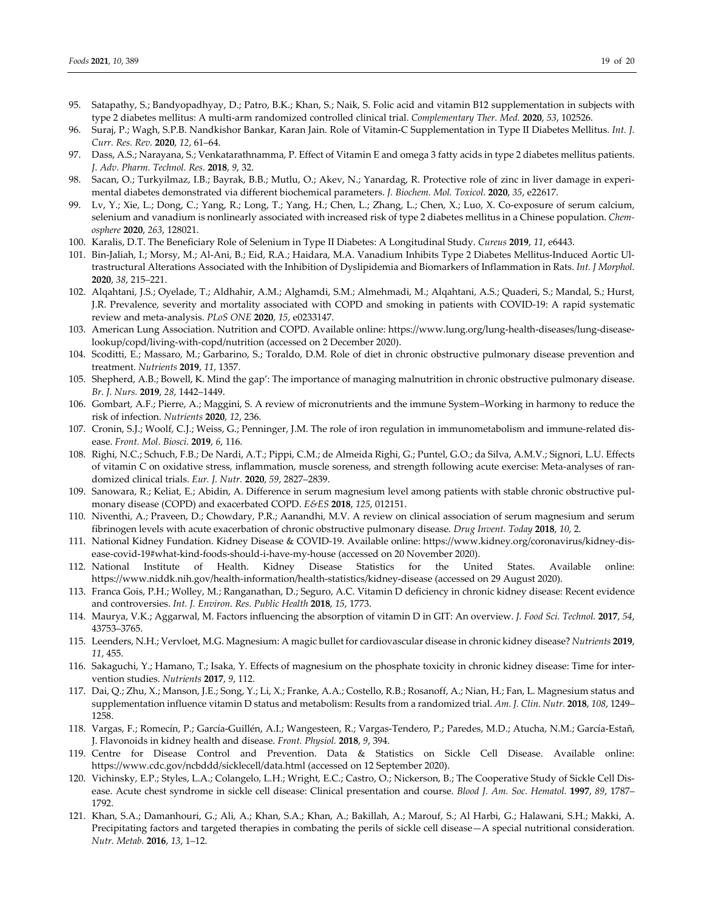- 95. Satapathy, S.; Bandyopadhyay, D.; Patro, B.K.; Khan, S.; Naik, S. Folic acid and vitamin B12 supplementation in subjects with type 2 diabetes mellitus: A multi-arm randomized controlled clinical trial. *Complementary Ther. Med.* **2020**, *53*, 102526.
- 96. Suraj, P.; Wagh, S.P.B. Nandkishor Bankar, Karan Jain. Role of Vitamin-C Supplementation in Type II Diabetes Mellitus. *Int. J. Curr. Res. Rev.* **2020**, *12*, 61–64.
- 97. Dass, A.S.; Narayana, S.; Venkatarathnamma, P. Effect of Vitamin E and omega 3 fatty acids in type 2 diabetes mellitus patients. *J. Adv. Pharm. Technol. Res.* **2018**, *9*, 32.
- 98. Sacan, O.; Turkyilmaz, I.B.; Bayrak, B.B.; Mutlu, O.; Akev, N.; Yanardag, R. Protective role of zinc in liver damage in experimental diabetes demonstrated via different biochemical parameters. *J. Biochem. Mol. Toxicol.* **2020**, *35*, e22617.
- 99. Lv, Y.; Xie, L.; Dong, C.; Yang, R.; Long, T.; Yang, H.; Chen, L.; Zhang, L.; Chen, X.; Luo, X. Co-exposure of serum calcium, selenium and vanadium is nonlinearly associated with increased risk of type 2 diabetes mellitus in a Chinese population. *Chemosphere* **2020**, *263*, 128021.
- 100. Karalis, D.T. The Beneficiary Role of Selenium in Type II Diabetes: A Longitudinal Study. *Cureus* **2019**, *11*, e6443.
- 101. Bin-Jaliah, I.; Morsy, M.; Al-Ani, B.; Eid, R.A.; Haidara, M.A. Vanadium Inhibits Type 2 Diabetes Mellitus-Induced Aortic Ultrastructural Alterations Associated with the Inhibition of Dyslipidemia and Biomarkers of Inflammation in Rats. *Int. J Morphol.*  **2020**, *38*, 215–221.
- 102. Alqahtani, J.S.; Oyelade, T.; Aldhahir, A.M.; Alghamdi, S.M.; Almehmadi, M.; Alqahtani, A.S.; Quaderi, S.; Mandal, S.; Hurst, J.R. Prevalence, severity and mortality associated with COPD and smoking in patients with COVID-19: A rapid systematic review and meta-analysis. *PLoS ONE* **2020**, *15*, e0233147.
- 103. American Lung Association. Nutrition and COPD. Available online: https://www.lung.org/lung-health-diseases/lung-diseaselookup/copd/living-with-copd/nutrition (accessed on 2 December 2020).
- 104. Scoditti, E.; Massaro, M.; Garbarino, S.; Toraldo, D.M. Role of diet in chronic obstructive pulmonary disease prevention and treatment. *Nutrients* **2019**, *11*, 1357.
- 105. Shepherd, A.B.; Bowell, K. Mind the gap': The importance of managing malnutrition in chronic obstructive pulmonary disease. *Br. J. Nurs.* **2019**, *28*, 1442–1449.
- 106. Gombart, A.F.; Pierre, A.; Maggini, S. A review of micronutrients and the immune System–Working in harmony to reduce the risk of infection. *Nutrients* **2020**, *12*, 236.
- 107. Cronin, S.J.; Woolf, C.J.; Weiss, G.; Penninger, J.M. The role of iron regulation in immunometabolism and immune-related disease. *Front. Mol. Biosci.* **2019**, *6*, 116.
- 108. Righi, N.C.; Schuch, F.B.; De Nardi, A.T.; Pippi, C.M.; de Almeida Righi, G.; Puntel, G.O.; da Silva, A.M.V.; Signori, L.U. Effects of vitamin C on oxidative stress, inflammation, muscle soreness, and strength following acute exercise: Meta-analyses of randomized clinical trials. *Eur. J. Nutr.* **2020**, *59*, 2827–2839.
- 109. Sanowara, R.; Keliat, E.; Abidin, A. Difference in serum magnesium level among patients with stable chronic obstructive pulmonary disease (COPD) and exacerbated COPD. *E&ES* **2018**, *125*, 012151.
- 110. Niventhi, A.; Praveen, D.; Chowdary, P.R.; Aanandhi, M.V. A review on clinical association of serum magnesium and serum fibrinogen levels with acute exacerbation of chronic obstructive pulmonary disease. *Drug Invent. Today* **2018**, *10*, 2.
- 111. National Kidney Fundation. Kidney Disease & COVID-19. Available online: https://www.kidney.org/coronavirus/kidney-disease-covid-19#what-kind-foods-should-i-have-my-house (accessed on 20 November 2020).
- 112. National Institute of Health. Kidney Disease Statistics for the United States. Available online: https://www.niddk.nih.gov/health-information/health-statistics/kidney-disease (accessed on 29 August 2020).
- 113. Franca Gois, P.H.; Wolley, M.; Ranganathan, D.; Seguro, A.C. Vitamin D deficiency in chronic kidney disease: Recent evidence and controversies. *Int. J. Environ. Res. Public Health* **2018**, *15*, 1773.
- 114. Maurya, V.K.; Aggarwal, M. Factors influencing the absorption of vitamin D in GIT: An overview. *J. Food Sci. Technol.* **2017**, *54*, 43753–3765.
- 115. Leenders, N.H.; Vervloet, M.G. Magnesium: A magic bullet for cardiovascular disease in chronic kidney disease? *Nutrients* **2019**, *11*, 455.
- 116. Sakaguchi, Y.; Hamano, T.; Isaka, Y. Effects of magnesium on the phosphate toxicity in chronic kidney disease: Time for intervention studies. *Nutrients* **2017**, *9*, 112.
- 117. Dai, Q.; Zhu, X.; Manson, J.E.; Song, Y.; Li, X.; Franke, A.A.; Costello, R.B.; Rosanoff, A.; Nian, H.; Fan, L. Magnesium status and supplementation influence vitamin D status and metabolism: Results from a randomized trial. *Am. J. Clin. Nutr.* **2018**, *108*, 1249– 1258.
- 118. Vargas, F.; Romecín, P.; García-Guillén, A.I.; Wangesteen, R.; Vargas-Tendero, P.; Paredes, M.D.; Atucha, N.M.; García-Estañ, J. Flavonoids in kidney health and disease. *Front. Physiol.* **2018**, *9*, 394.
- 119. Centre for Disease Control and Prevention. Data & Statistics on Sickle Cell Disease. Available online: https://www.cdc.gov/ncbddd/sicklecell/data.html (accessed on 12 September 2020).
- 120. Vichinsky, E.P.; Styles, L.A.; Colangelo, L.H.; Wright, E.C.; Castro, O.; Nickerson, B.; The Cooperative Study of Sickle Cell Disease. Acute chest syndrome in sickle cell disease: Clinical presentation and course. *Blood J. Am. Soc. Hematol.* **1997**, *89*, 1787– 1792.
- 121. Khan, S.A.; Damanhouri, G.; Ali, A.; Khan, S.A.; Khan, A.; Bakillah, A.; Marouf, S.; Al Harbi, G.; Halawani, S.H.; Makki, A. Precipitating factors and targeted therapies in combating the perils of sickle cell disease—A special nutritional consideration. *Nutr. Metab.* **2016**, *13*, 1–12.